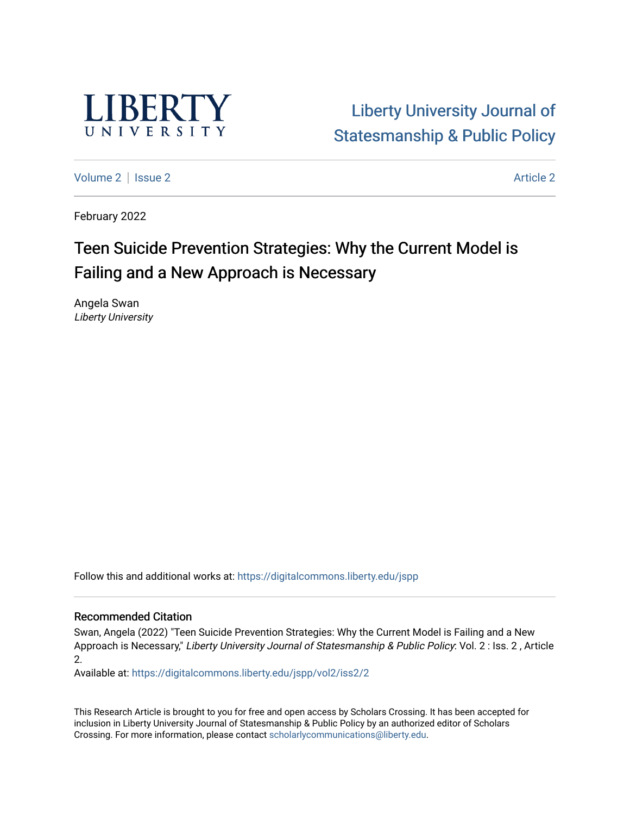

# [Liberty University Journal of](https://digitalcommons.liberty.edu/jspp)  [Statesmanship & Public Policy](https://digitalcommons.liberty.edu/jspp)

[Volume 2](https://digitalcommons.liberty.edu/jspp/vol2) | [Issue 2](https://digitalcommons.liberty.edu/jspp/vol2/iss2) Article 2

February 2022

# Teen Suicide Prevention Strategies: Why the Current Model is Failing and a New Approach is Necessary

Angela Swan Liberty University

Follow this and additional works at: [https://digitalcommons.liberty.edu/jspp](https://digitalcommons.liberty.edu/jspp?utm_source=digitalcommons.liberty.edu%2Fjspp%2Fvol2%2Fiss2%2F2&utm_medium=PDF&utm_campaign=PDFCoverPages) 

### Recommended Citation

Swan, Angela (2022) "Teen Suicide Prevention Strategies: Why the Current Model is Failing and a New Approach is Necessary," Liberty University Journal of Statesmanship & Public Policy: Vol. 2 : Iss. 2 , Article 2.

Available at: [https://digitalcommons.liberty.edu/jspp/vol2/iss2/2](https://digitalcommons.liberty.edu/jspp/vol2/iss2/2?utm_source=digitalcommons.liberty.edu%2Fjspp%2Fvol2%2Fiss2%2F2&utm_medium=PDF&utm_campaign=PDFCoverPages) 

This Research Article is brought to you for free and open access by Scholars Crossing. It has been accepted for inclusion in Liberty University Journal of Statesmanship & Public Policy by an authorized editor of Scholars Crossing. For more information, please contact [scholarlycommunications@liberty.edu](mailto:scholarlycommunications@liberty.edu).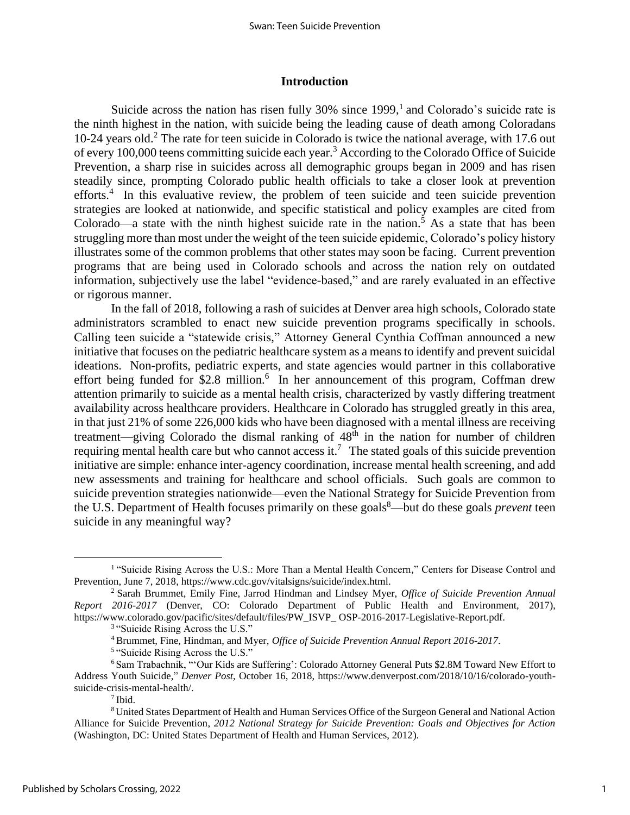### **Introduction**

Suicide across the nation has risen fully 30% since 1999,<sup>1</sup> and Colorado's suicide rate is the ninth highest in the nation, with suicide being the leading cause of death among Coloradans 10-24 years old. <sup>2</sup> The rate for teen suicide in Colorado is twice the national average, with 17.6 out of every 100,000 teens committing suicide each year.<sup>3</sup> According to the Colorado Office of Suicide Prevention, a sharp rise in suicides across all demographic groups began in 2009 and has risen steadily since, prompting Colorado public health officials to take a closer look at prevention efforts.<sup>4</sup> In this evaluative review, the problem of teen suicide and teen suicide prevention strategies are looked at nationwide, and specific statistical and policy examples are cited from Colorado—a state with the ninth highest suicide rate in the nation.<sup>5</sup> As a state that has been struggling more than most under the weight of the teen suicide epidemic, Colorado's policy history illustrates some of the common problems that other states may soon be facing. Current prevention programs that are being used in Colorado schools and across the nation rely on outdated information, subjectively use the label "evidence-based," and are rarely evaluated in an effective or rigorous manner.

In the fall of 2018, following a rash of suicides at Denver area high schools, Colorado state administrators scrambled to enact new suicide prevention programs specifically in schools. Calling teen suicide a "statewide crisis," Attorney General Cynthia Coffman announced a new initiative that focuses on the pediatric healthcare system as a means to identify and prevent suicidal ideations. Non-profits, pediatric experts, and state agencies would partner in this collaborative effort being funded for \$2.8 million.<sup>6</sup> In her announcement of this program, Coffman drew attention primarily to suicide as a mental health crisis, characterized by vastly differing treatment availability across healthcare providers. Healthcare in Colorado has struggled greatly in this area, in that just 21% of some 226,000 kids who have been diagnosed with a mental illness are receiving treatment—giving Colorado the dismal ranking of  $48<sup>th</sup>$  in the nation for number of children requiring mental health care but who cannot access it.<sup>7</sup> The stated goals of this suicide prevention initiative are simple: enhance inter-agency coordination, increase mental health screening, and add new assessments and training for healthcare and school officials. Such goals are common to suicide prevention strategies nationwide—even the National Strategy for Suicide Prevention from the U.S. Department of Health focuses primarily on these goals<sup>8</sup>—but do these goals *prevent* teen suicide in any meaningful way?

<sup>&</sup>lt;sup>1</sup> "Suicide Rising Across the U.S.: More Than a Mental Health Concern," Centers for Disease Control and Prevention, June 7, 2018, https://www.cdc.gov/vitalsigns/suicide/index.html.

<sup>2</sup> Sarah Brummet, Emily Fine, Jarrod Hindman and Lindsey Myer, *Office of Suicide Prevention Annual Report 2016-2017* (Denver, CO: Colorado Department of Public Health and Environment, 2017), https://www.colorado.gov/pacific/sites/default/files/PW\_ISVP\_ OSP-2016-2017-Legislative-Report.pdf.

<sup>&</sup>lt;sup>3</sup> "Suicide Rising Across the U.S."

<sup>4</sup> Brummet, Fine, Hindman, and Myer, *Office of Suicide Prevention Annual Report 2016-2017*.

<sup>&</sup>lt;sup>5</sup> "Suicide Rising Across the U.S."

<sup>6</sup> Sam Trabachnik, "'Our Kids are Suffering': Colorado Attorney General Puts \$2.8M Toward New Effort to Address Youth Suicide," *Denver Post*, October 16, 2018, https://www.denverpost.com/2018/10/16/colorado-youthsuicide-crisis-mental-health/.

<sup>7</sup> Ibid.

<sup>8</sup>United States Department of Health and Human Services Office of the Surgeon General and National Action Alliance for Suicide Prevention, *2012 National Strategy for Suicide Prevention: Goals and Objectives for Action*  (Washington, DC: United States Department of Health and Human Services, 2012).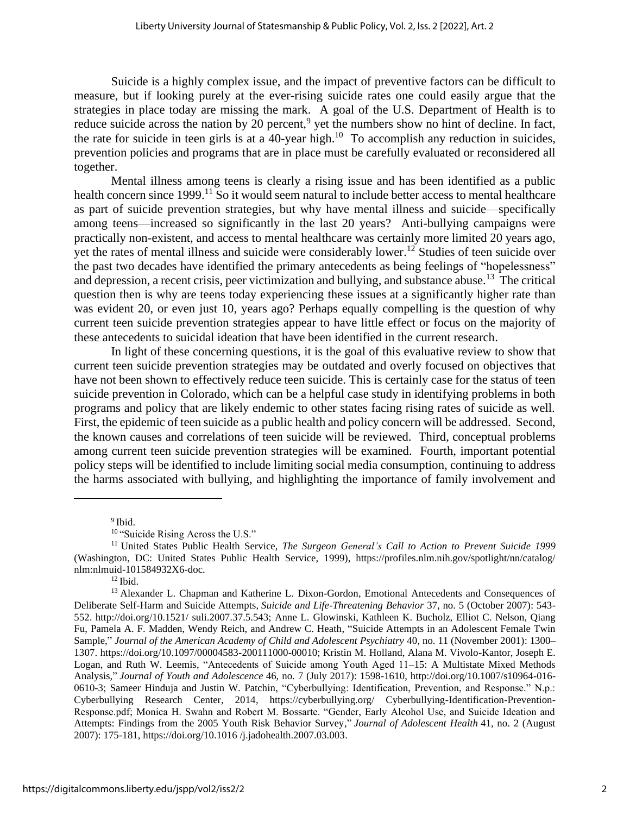Suicide is a highly complex issue, and the impact of preventive factors can be difficult to measure, but if looking purely at the ever-rising suicide rates one could easily argue that the strategies in place today are missing the mark. A goal of the U.S. Department of Health is to reduce suicide across the nation by 20 percent,<sup>9</sup> yet the numbers show no hint of decline. In fact, the rate for suicide in teen girls is at a 40-year high.<sup>10</sup> To accomplish any reduction in suicides, prevention policies and programs that are in place must be carefully evaluated or reconsidered all together.

Mental illness among teens is clearly a rising issue and has been identified as a public health concern since 1999.<sup>11</sup> So it would seem natural to include better access to mental healthcare as part of suicide prevention strategies, but why have mental illness and suicide—specifically among teens—increased so significantly in the last 20 years? Anti-bullying campaigns were practically non-existent, and access to mental healthcare was certainly more limited 20 years ago, yet the rates of mental illness and suicide were considerably lower.<sup>12</sup> Studies of teen suicide over the past two decades have identified the primary antecedents as being feelings of "hopelessness" and depression, a recent crisis, peer victimization and bullying, and substance abuse.<sup>13</sup> The critical question then is why are teens today experiencing these issues at a significantly higher rate than was evident 20, or even just 10, years ago? Perhaps equally compelling is the question of why current teen suicide prevention strategies appear to have little effect or focus on the majority of these antecedents to suicidal ideation that have been identified in the current research.

In light of these concerning questions, it is the goal of this evaluative review to show that current teen suicide prevention strategies may be outdated and overly focused on objectives that have not been shown to effectively reduce teen suicide. This is certainly case for the status of teen suicide prevention in Colorado, which can be a helpful case study in identifying problems in both programs and policy that are likely endemic to other states facing rising rates of suicide as well. First, the epidemic of teen suicide as a public health and policy concern will be addressed. Second, the known causes and correlations of teen suicide will be reviewed. Third, conceptual problems among current teen suicide prevention strategies will be examined. Fourth, important potential policy steps will be identified to include limiting social media consumption, continuing to address the harms associated with bullying, and highlighting the importance of family involvement and

<sup>9</sup>Ibid.

 $12$  Ibid.

<sup>&</sup>lt;sup>10</sup> "Suicide Rising Across the U.S."

<sup>11</sup> United States Public Health Service, *The Surgeon General's Call to Action to Prevent Suicide 1999* (Washington, DC: United States Public Health Service, 1999), https://profiles.nlm.nih.gov/spotlight/nn/catalog/ nlm:nlmuid-101584932X6-doc.

<sup>&</sup>lt;sup>13</sup> Alexander L. Chapman and Katherine L. Dixon-Gordon, Emotional Antecedents and Consequences of Deliberate Self-Harm and Suicide Attempts, *Suicide and Life-Threatening Behavior* 37, no. 5 (October 2007): 543- 552. http://doi.org/10.1521/ suli.2007.37.5.543; Anne L. Glowinski, Kathleen K. Bucholz, Elliot C. Nelson, Qiang Fu, Pamela A. F. Madden, Wendy Reich, and Andrew C. Heath, "Suicide Attempts in an Adolescent Female Twin Sample," *Journal of the American Academy of Child and Adolescent Psychiatry* 40, no. 11 (November 2001): 1300– 1307. https://doi.org/10.1097/00004583-200111000-00010; Kristin M. Holland, Alana M. Vivolo-Kantor, Joseph E. Logan, and Ruth W. Leemis, "Antecedents of Suicide among Youth Aged 11–15: A Multistate Mixed Methods Analysis," *Journal of Youth and Adolescence* 46, no. 7 (July 2017): 1598-1610, http://doi.org/10.1007/s10964-016- 0610-3; Sameer Hinduja and Justin W. Patchin, "Cyberbullying: Identification, Prevention, and Response." N.p.: Cyberbullying Research Center, 2014, https://cyberbullying.org/ Cyberbullying-Identification-Prevention-Response.pdf; Monica H. Swahn and Robert M. Bossarte. "Gender, Early Alcohol Use, and Suicide Ideation and Attempts: Findings from the 2005 Youth Risk Behavior Survey," *Journal of Adolescent Health* 41, no. 2 (August 2007): 175-181, https://doi.org/10.1016 /j.jadohealth.2007.03.003.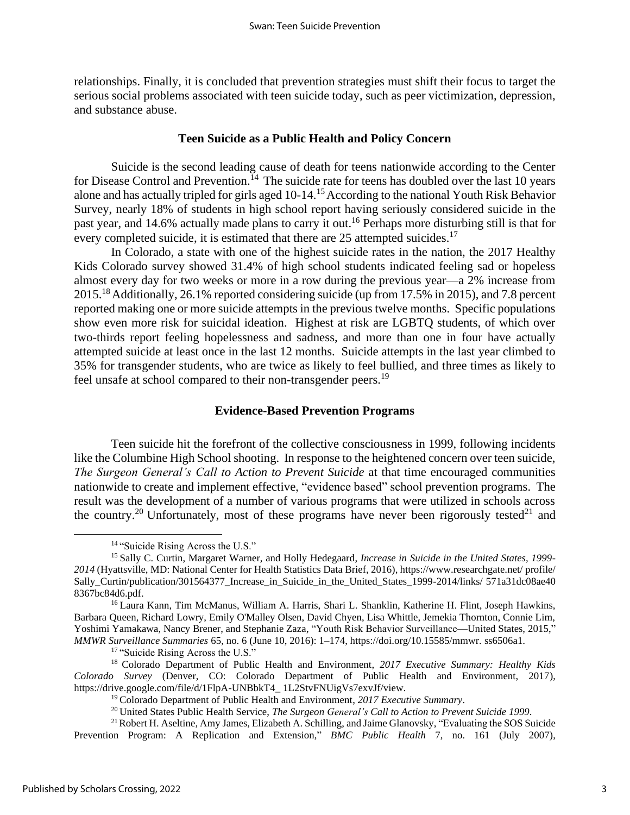relationships. Finally, it is concluded that prevention strategies must shift their focus to target the serious social problems associated with teen suicide today, such as peer victimization, depression, and substance abuse.

## **Teen Suicide as a Public Health and Policy Concern**

Suicide is the second leading cause of death for teens nationwide according to the Center for Disease Control and Prevention.<sup>14</sup> The suicide rate for teens has doubled over the last 10 years alone and has actually tripled for girls aged 10-14.<sup>15</sup> According to the national Youth Risk Behavior Survey, nearly 18% of students in high school report having seriously considered suicide in the past year, and 14.6% actually made plans to carry it out. <sup>16</sup> Perhaps more disturbing still is that for every completed suicide, it is estimated that there are 25 attempted suicides.<sup>17</sup>

In Colorado, a state with one of the highest suicide rates in the nation, the 2017 Healthy Kids Colorado survey showed 31.4% of high school students indicated feeling sad or hopeless almost every day for two weeks or more in a row during the previous year—a 2% increase from 2015.<sup>18</sup> Additionally, 26.1% reported considering suicide (up from 17.5% in 2015), and 7.8 percent reported making one or more suicide attempts in the previous twelve months. Specific populations show even more risk for suicidal ideation. Highest at risk are LGBTQ students, of which over two-thirds report feeling hopelessness and sadness, and more than one in four have actually attempted suicide at least once in the last 12 months. Suicide attempts in the last year climbed to 35% for transgender students, who are twice as likely to feel bullied, and three times as likely to feel unsafe at school compared to their non-transgender peers.<sup>19</sup>

## **Evidence-Based Prevention Programs**

Teen suicide hit the forefront of the collective consciousness in 1999, following incidents like the Columbine High School shooting. In response to the heightened concern over teen suicide, *The Surgeon General's Call to Action to Prevent Suicide* at that time encouraged communities nationwide to create and implement effective, "evidence based" school prevention programs. The result was the development of a number of various programs that were utilized in schools across the country.<sup>20</sup> Unfortunately, most of these programs have never been rigorously tested<sup>21</sup> and

<sup>17</sup> "Suicide Rising Across the U.S."

<sup>&</sup>lt;sup>14</sup> "Suicide Rising Across the U.S."

<sup>15</sup> Sally C. Curtin, Margaret Warner, and Holly Hedegaard, *Increase in Suicide in the United States, 1999- 2014* (Hyattsville, MD: National Center for Health Statistics Data Brief, 2016), https://www.researchgate.net/ profile/ Sally Curtin/publication/301564377 Increase in Suicide in the United States 1999-2014/links/ 571a31dc08ae40 8367bc84d6.pdf.

<sup>16</sup> Laura Kann, Tim McManus, William A. Harris, Shari L. Shanklin, Katherine H. Flint, Joseph Hawkins, Barbara Queen, Richard Lowry, Emily O'Malley Olsen, David Chyen, Lisa Whittle, Jemekia Thornton, Connie Lim, Yoshimi Yamakawa, Nancy Brener, and Stephanie Zaza, "Youth Risk Behavior Surveillance—United States, 2015," *MMWR Surveillance Summaries* 65, no. 6 (June 10, 2016): 1–174, https://doi.org/10.15585/mmwr. ss6506a1.

<sup>18</sup> Colorado Department of Public Health and Environment, *2017 Executive Summary: Healthy Kids Colorado Survey* (Denver, CO: Colorado Department of Public Health and Environment, 2017), https://drive.google.com/file/d/1FlpA-UNBbkT4\_ 1L2StvFNUigVs7exvJf/view.

<sup>19</sup> Colorado Department of Public Health and Environment, *2017 Executive Summary*.

<sup>20</sup> United States Public Health Service, *The Surgeon General's Call to Action to Prevent Suicide 1999*.

 $21$ Robert H. Aseltine, Amy James, Elizabeth A. Schilling, and Jaime Glanovsky, "Evaluating the SOS Suicide Prevention Program: A Replication and Extension," *BMC Public Health* 7, no. 161 (July 2007),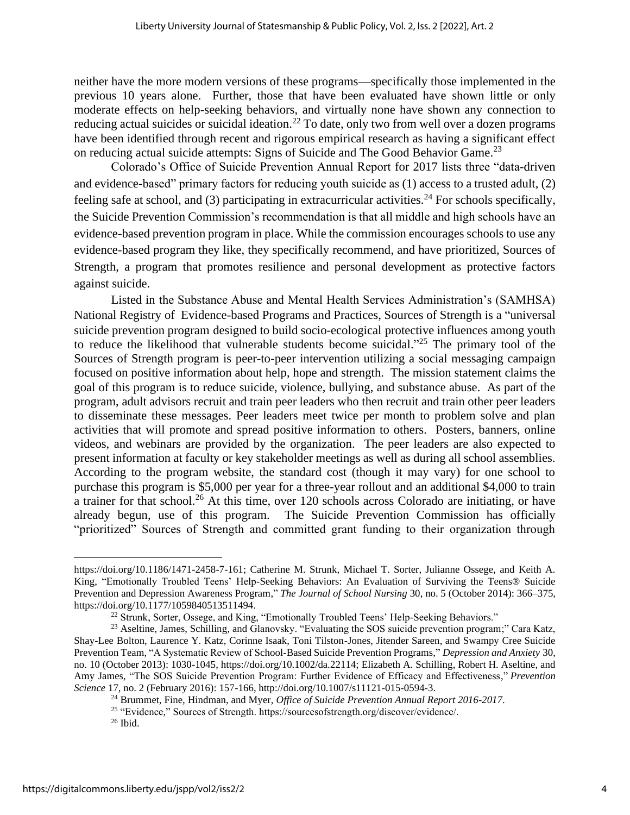neither have the more modern versions of these programs—specifically those implemented in the previous 10 years alone. Further, those that have been evaluated have shown little or only moderate effects on help-seeking behaviors, and virtually none have shown any connection to reducing actual suicides or suicidal ideation.<sup>22</sup> To date, only two from well over a dozen programs have been identified through recent and rigorous empirical research as having a significant effect on reducing actual suicide attempts: Signs of Suicide and The Good Behavior Game.<sup>23</sup>

Colorado's Office of Suicide Prevention Annual Report for 2017 lists three "data-driven and evidence-based" primary factors for reducing youth suicide as (1) access to a trusted adult, (2) feeling safe at school, and (3) participating in extracurricular activities.<sup>24</sup> For schools specifically, the Suicide Prevention Commission's recommendation is that all middle and high schools have an evidence-based prevention program in place. While the commission encourages schools to use any evidence-based program they like, they specifically recommend, and have prioritized, Sources of Strength, a program that promotes resilience and personal development as protective factors against suicide.

Listed in the Substance Abuse and Mental Health Services Administration's (SAMHSA) National Registry of Evidence-based Programs and Practices, Sources of Strength is a "universal suicide prevention program designed to build socio-ecological protective influences among youth to reduce the likelihood that vulnerable students become suicidal."<sup>25</sup> The primary tool of the Sources of Strength program is peer-to-peer intervention utilizing a social messaging campaign focused on positive information about help, hope and strength. The mission statement claims the goal of this program is to reduce suicide, violence, bullying, and substance abuse. As part of the program, adult advisors recruit and train peer leaders who then recruit and train other peer leaders to disseminate these messages. Peer leaders meet twice per month to problem solve and plan activities that will promote and spread positive information to others. Posters, banners, online videos, and webinars are provided by the organization. The peer leaders are also expected to present information at faculty or key stakeholder meetings as well as during all school assemblies. According to the program website, the standard cost (though it may vary) for one school to purchase this program is \$5,000 per year for a three-year rollout and an additional \$4,000 to train a trainer for that school.<sup>26</sup> At this time, over 120 schools across Colorado are initiating, or have already begun, use of this program. The Suicide Prevention Commission has officially "prioritized" Sources of Strength and committed grant funding to their organization through

https://doi.org/10.1186/1471-2458-7-161; Catherine M. Strunk, Michael T. Sorter, Julianne Ossege, and Keith A. King, "Emotionally Troubled Teens' Help-Seeking Behaviors: An Evaluation of Surviving the Teens® Suicide Prevention and Depression Awareness Program," *The Journal of School Nursing* 30, no. 5 (October 2014): 366–375, https://doi.org/10.1177/1059840513511494.

<sup>&</sup>lt;sup>22</sup> Strunk, Sorter, Ossege, and King, "Emotionally Troubled Teens' Help-Seeking Behaviors."

<sup>&</sup>lt;sup>23</sup> Aseltine, James, Schilling, and Glanovsky. "Evaluating the SOS suicide prevention program;" Cara Katz, Shay-Lee Bolton, Laurence Y. Katz, Corinne Isaak, Toni Tilston‐Jones, Jitender Sareen, and Swampy Cree Suicide Prevention Team, "A Systematic Review of School‐Based Suicide Prevention Programs," *Depression and Anxiety* 30, no. 10 (October 2013): 1030-1045, https://doi.org/10.1002/da.22114; Elizabeth A. Schilling, Robert H. Aseltine, and Amy James, "The SOS Suicide Prevention Program: Further Evidence of Efficacy and Effectiveness," *Prevention Science* 17, no. 2 (February 2016): 157-166, http://doi.org/10.1007/s11121-015-0594-3.

<sup>24</sup> Brummet, Fine, Hindman, and Myer, *Office of Suicide Prevention Annual Report 2016-2017*.

<sup>25</sup> "Evidence," Sources of Strength. https://sourcesofstrength.org/discover/evidence/.

 $26$  Ibid.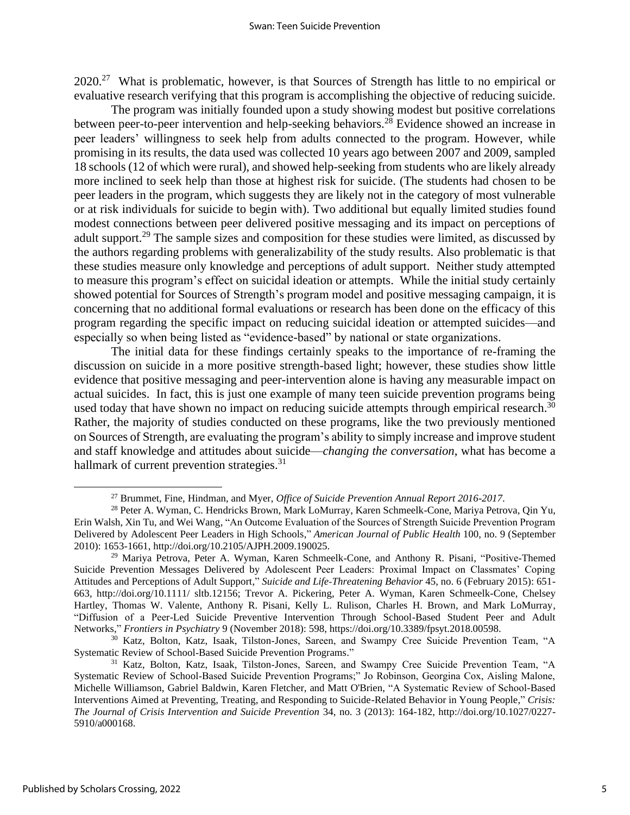2020.<sup>27</sup> What is problematic, however, is that Sources of Strength has little to no empirical or evaluative research verifying that this program is accomplishing the objective of reducing suicide.

The program was initially founded upon a study showing modest but positive correlations between peer-to-peer intervention and help-seeking behaviors.<sup>28</sup> Evidence showed an increase in peer leaders' willingness to seek help from adults connected to the program. However, while promising in its results, the data used was collected 10 years ago between 2007 and 2009, sampled 18 schools (12 of which were rural), and showed help-seeking from students who are likely already more inclined to seek help than those at highest risk for suicide. (The students had chosen to be peer leaders in the program, which suggests they are likely not in the category of most vulnerable or at risk individuals for suicide to begin with). Two additional but equally limited studies found modest connections between peer delivered positive messaging and its impact on perceptions of adult support.<sup>29</sup> The sample sizes and composition for these studies were limited, as discussed by the authors regarding problems with generalizability of the study results. Also problematic is that these studies measure only knowledge and perceptions of adult support. Neither study attempted to measure this program's effect on suicidal ideation or attempts. While the initial study certainly showed potential for Sources of Strength's program model and positive messaging campaign, it is concerning that no additional formal evaluations or research has been done on the efficacy of this program regarding the specific impact on reducing suicidal ideation or attempted suicides—and especially so when being listed as "evidence-based" by national or state organizations.

The initial data for these findings certainly speaks to the importance of re-framing the discussion on suicide in a more positive strength-based light; however, these studies show little evidence that positive messaging and peer-intervention alone is having any measurable impact on actual suicides. In fact, this is just one example of many teen suicide prevention programs being used today that have shown no impact on reducing suicide attempts through empirical research.<sup>30</sup> Rather, the majority of studies conducted on these programs, like the two previously mentioned on Sources of Strength, are evaluating the program's ability to simply increase and improve student and staff knowledge and attitudes about suicide—*changing the conversation*, what has become a hallmark of current prevention strategies.<sup>31</sup>

<sup>30</sup> Katz, Bolton, Katz, Isaak, Tilston-Jones, Sareen, and Swampy Cree Suicide Prevention Team, "A Systematic Review of School‐Based Suicide Prevention Programs."

<sup>27</sup> Brummet, Fine, Hindman, and Myer, *Office of Suicide Prevention Annual Report 2016-2017*.

<sup>28</sup> Peter A. Wyman, C. Hendricks Brown, Mark LoMurray, Karen Schmeelk-Cone, Mariya Petrova, Qin Yu, Erin Walsh, Xin Tu, and Wei Wang, "An Outcome Evaluation of the Sources of Strength Suicide Prevention Program Delivered by Adolescent Peer Leaders in High Schools," *American Journal of Public Health* 100, no. 9 (September 2010): 1653-1661, http://doi.org/10.2105/AJPH.2009.190025.

<sup>&</sup>lt;sup>29</sup> Mariya Petrova, Peter A. Wyman, Karen Schmeelk-Cone, and Anthony R. Pisani, "Positive-Themed Suicide Prevention Messages Delivered by Adolescent Peer Leaders: Proximal Impact on Classmates' Coping Attitudes and Perceptions of Adult Support," *Suicide and Life‐Threatening Behavior* 45, no. 6 (February 2015): 651- 663, http://doi.org/10.1111/ sltb.12156; Trevor A. Pickering, Peter A. Wyman, Karen Schmeelk-Cone, Chelsey Hartley, Thomas W. Valente, Anthony R. Pisani, Kelly L. Rulison, Charles H. Brown, and Mark LoMurray, "Diffusion of a Peer-Led Suicide Preventive Intervention Through School-Based Student Peer and Adult Networks," *Frontiers in Psychiatry* 9 (November 2018): 598, https://doi.org/10.3389/fpsyt.2018.00598.

<sup>&</sup>lt;sup>31</sup> Katz, Bolton, Katz, Isaak, Tilston-Jones, Sareen, and Swampy Cree Suicide Prevention Team, "A Systematic Review of School‐Based Suicide Prevention Programs;" Jo Robinson, Georgina Cox, Aisling Malone, Michelle Williamson, Gabriel Baldwin, Karen Fletcher, and Matt O'Brien, "A Systematic Review of School-Based Interventions Aimed at Preventing, Treating, and Responding to Suicide-Related Behavior in Young People," *Crisis: The Journal of Crisis Intervention and Suicide Prevention* 34, no. 3 (2013): 164-182, http://doi.org/10.1027/0227- 5910/a000168.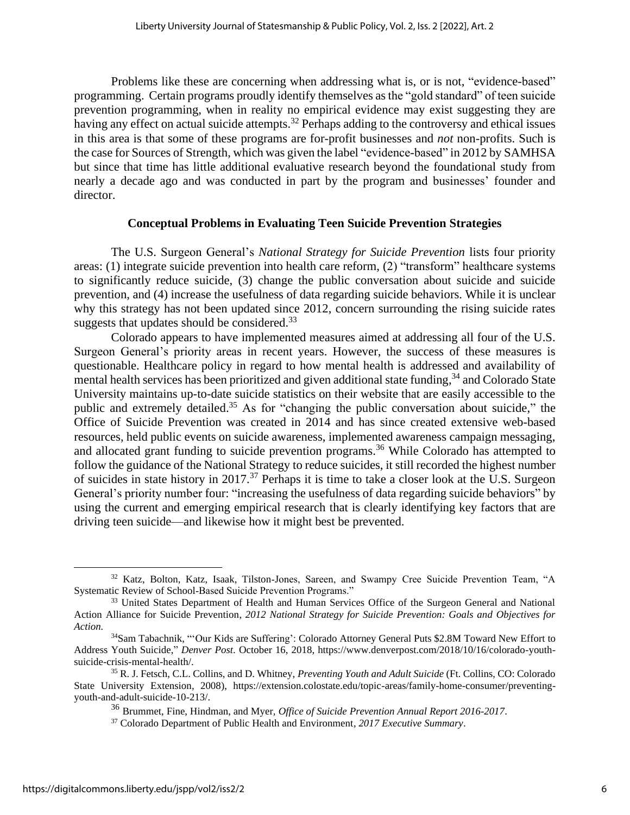Problems like these are concerning when addressing what is, or is not, "evidence-based" programming. Certain programs proudly identify themselves as the "gold standard" of teen suicide prevention programming, when in reality no empirical evidence may exist suggesting they are having any effect on actual suicide attempts.<sup>32</sup> Perhaps adding to the controversy and ethical issues in this area is that some of these programs are for-profit businesses and *not* non-profits. Such is the case for Sources of Strength, which was given the label "evidence-based" in 2012 by SAMHSA but since that time has little additional evaluative research beyond the foundational study from nearly a decade ago and was conducted in part by the program and businesses' founder and director.

# **Conceptual Problems in Evaluating Teen Suicide Prevention Strategies**

The U.S. Surgeon General's *National Strategy for Suicide Prevention* lists four priority areas: (1) integrate suicide prevention into health care reform, (2) "transform" healthcare systems to significantly reduce suicide, (3) change the public conversation about suicide and suicide prevention, and (4) increase the usefulness of data regarding suicide behaviors. While it is unclear why this strategy has not been updated since 2012, concern surrounding the rising suicide rates suggests that updates should be considered.<sup>33</sup>

Colorado appears to have implemented measures aimed at addressing all four of the U.S. Surgeon General's priority areas in recent years. However, the success of these measures is questionable. Healthcare policy in regard to how mental health is addressed and availability of mental health services has been prioritized and given additional state funding,<sup>34</sup> and Colorado State University maintains up-to-date suicide statistics on their website that are easily accessible to the public and extremely detailed.<sup>35</sup> As for "changing the public conversation about suicide," the Office of Suicide Prevention was created in 2014 and has since created extensive web-based resources, held public events on suicide awareness, implemented awareness campaign messaging, and allocated grant funding to suicide prevention programs.<sup>36</sup> While Colorado has attempted to follow the guidance of the National Strategy to reduce suicides, it still recorded the highest number of suicides in state history in 2017. <sup>37</sup> Perhaps it is time to take a closer look at the U.S. Surgeon General's priority number four: "increasing the usefulness of data regarding suicide behaviors" by using the current and emerging empirical research that is clearly identifying key factors that are driving teen suicide—and likewise how it might best be prevented.

<sup>&</sup>lt;sup>32</sup> Katz, Bolton, Katz, Isaak, Tilston-Jones, Sareen, and Swampy Cree Suicide Prevention Team, "A Systematic Review of School‐Based Suicide Prevention Programs."

<sup>&</sup>lt;sup>33</sup> United States Department of Health and Human Services Office of the Surgeon General and National Action Alliance for Suicide Prevention, *2012 National Strategy for Suicide Prevention: Goals and Objectives for Action.*

<sup>&</sup>lt;sup>34</sup>Sam Tabachnik, ""Our Kids are Suffering': Colorado Attorney General Puts \$2.8M Toward New Effort to Address Youth Suicide," *Denver Post*. October 16, 2018, https://www.denverpost.com/2018/10/16/colorado-youthsuicide-crisis-mental-health/.

<sup>35</sup> R. J. Fetsch, C.L. Collins, and D. Whitney, *Preventing Youth and Adult Suicide* (Ft. Collins, CO: Colorado State University Extension, 2008), https://extension.colostate.edu/topic-areas/family-home-consumer/preventingyouth-and-adult-suicide-10-213/.

<sup>36</sup> Brummet, Fine, Hindman, and Myer, *Office of Suicide Prevention Annual Report 2016-2017*.

<sup>37</sup> Colorado Department of Public Health and Environment, *2017 Executive Summary*.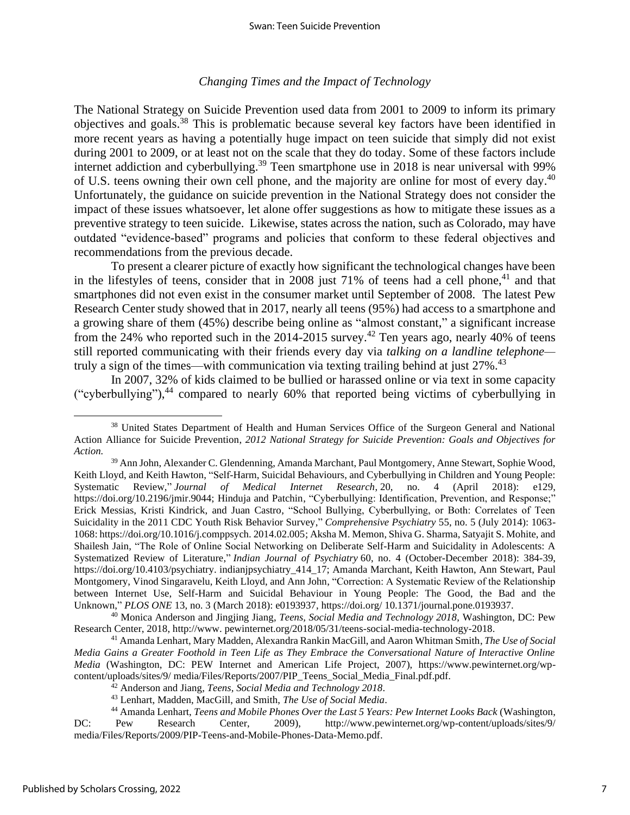## *Changing Times and the Impact of Technology*

The National Strategy on Suicide Prevention used data from 2001 to 2009 to inform its primary objectives and goals. <sup>38</sup> This is problematic because several key factors have been identified in more recent years as having a potentially huge impact on teen suicide that simply did not exist during 2001 to 2009, or at least not on the scale that they do today. Some of these factors include internet addiction and cyberbullying.<sup>39</sup> Teen smartphone use in 2018 is near universal with 99% of U.S. teens owning their own cell phone, and the majority are online for most of every day.<sup>40</sup> Unfortunately, the guidance on suicide prevention in the National Strategy does not consider the impact of these issues whatsoever, let alone offer suggestions as how to mitigate these issues as a preventive strategy to teen suicide. Likewise, states across the nation, such as Colorado, may have outdated "evidence-based" programs and policies that conform to these federal objectives and recommendations from the previous decade.

To present a clearer picture of exactly how significant the technological changes have been in the lifestyles of teens, consider that in 2008 just 71% of teens had a cell phone,<sup>41</sup> and that smartphones did not even exist in the consumer market until September of 2008. The latest Pew Research Center study showed that in 2017, nearly all teens (95%) had access to a smartphone and a growing share of them (45%) describe being online as "almost constant," a significant increase from the 24% who reported such in the 2014-2015 survey.<sup>42</sup> Ten years ago, nearly 40% of teens still reported communicating with their friends every day via *talking on a landline telephone* truly a sign of the times—with communication via texting trailing behind at just 27%.<sup>43</sup>

In 2007, 32% of kids claimed to be bullied or harassed online or via text in some capacity ("cyberbullying"),<sup>44</sup> compared to nearly 60% that reported being victims of cyberbullying in

<sup>38</sup> United States Department of Health and Human Services Office of the Surgeon General and National Action Alliance for Suicide Prevention, *2012 National Strategy for Suicide Prevention: Goals and Objectives for Action.*

<sup>39</sup> Ann John, Alexander C. Glendenning, Amanda Marchant, Paul Montgomery, Anne Stewart, Sophie Wood, Keith Lloyd, and Keith Hawton, "Self-Harm, Suicidal Behaviours, and Cyberbullying in Children and Young People: Systematic Review," *Journal of Medical Internet Research*, 20, no. 4 (April 2018): e129, https://doi.org/10.2196/jmir.9044; Hinduja and Patchin, "Cyberbullying: Identification, Prevention, and Response;" Erick Messias, Kristi Kindrick, and Juan Castro, "School Bullying, Cyberbullying, or Both: Correlates of Teen Suicidality in the 2011 CDC Youth Risk Behavior Survey," *Comprehensive Psychiatry* 55, no. 5 (July 2014): 1063- 1068: https://doi.org/10.1016/j.comppsych. 2014.02.005; Aksha M. Memon, Shiva G. Sharma, Satyajit S. Mohite, and Shailesh Jain, "The Role of Online Social Networking on Deliberate Self-Harm and Suicidality in Adolescents: A Systematized Review of Literature," *Indian Journal of Psychiatry* 60, no. 4 (October-December 2018): 384-39, https://doi.org/10.4103/psychiatry. indianjpsychiatry\_414\_17; Amanda Marchant, Keith Hawton, Ann Stewart, Paul Montgomery, Vinod Singaravelu, Keith Lloyd, and Ann John, "Correction: A Systematic Review of the Relationship between Internet Use, Self-Harm and Suicidal Behaviour in Young People: The Good, the Bad and the Unknown," *PLOS ONE* 13, no. 3 (March 2018): e0193937, https://doi.org/ 10.1371/journal.pone.0193937.

<sup>40</sup> Monica Anderson and Jingjing Jiang, *Teens, Social Media and Technology 2018*, Washington, DC: Pew Research Center, 2018, http://www. pewinternet.org/2018/05/31/teens-social-media-technology-2018.

<sup>41</sup> Amanda Lenhart, Mary Madden, Alexandra Rankin MacGill, and Aaron Whitman Smith, *The Use of Social Media Gains a Greater Foothold in Teen Life as They Embrace the Conversational Nature of Interactive Online Media* (Washington, DC: PEW Internet and American Life Project, 2007), https://www.pewinternet.org/wpcontent/uploads/sites/9/ media/Files/Reports/2007/PIP\_Teens\_Social\_Media\_Final.pdf.pdf.

<sup>42</sup> Anderson and Jiang, *Teens, Social Media and Technology 2018*.

<sup>43</sup> Lenhart, Madden, MacGill, and Smith, *The Use of Social Media*.

<sup>44</sup> Amanda Lenhart, *Teens and Mobile Phones Over the Last 5 Years: Pew Internet Looks Back* (Washington, DC: Pew Research Center, 2009), http://www.pewinternet.org/wp-content/uploads/sites/9/ media/Files/Reports/2009/PIP-Teens-and-Mobile-Phones-Data-Memo.pdf.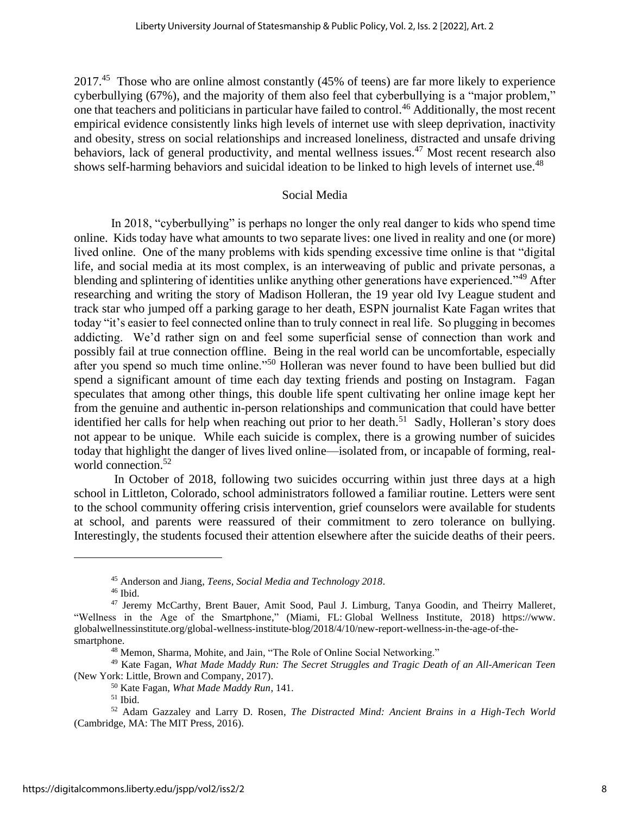2017.<sup>45</sup> Those who are online almost constantly (45% of teens) are far more likely to experience cyberbullying (67%), and the majority of them also feel that cyberbullying is a "major problem," one that teachers and politicians in particular have failed to control. <sup>46</sup> Additionally, the most recent empirical evidence consistently links high levels of internet use with sleep deprivation, inactivity and obesity, stress on social relationships and increased loneliness, distracted and unsafe driving behaviors, lack of general productivity, and mental wellness issues.<sup>47</sup> Most recent research also shows self-harming behaviors and suicidal ideation to be linked to high levels of internet use.<sup>48</sup>

## Social Media

In 2018, "cyberbullying" is perhaps no longer the only real danger to kids who spend time online. Kids today have what amounts to two separate lives: one lived in reality and one (or more) lived online. One of the many problems with kids spending excessive time online is that "digital life, and social media at its most complex, is an interweaving of public and private personas, a blending and splintering of identities unlike anything other generations have experienced."<sup>49</sup> After researching and writing the story of Madison Holleran, the 19 year old Ivy League student and track star who jumped off a parking garage to her death, ESPN journalist Kate Fagan writes that today "it's easier to feel connected online than to truly connect in real life. So plugging in becomes addicting. We'd rather sign on and feel some superficial sense of connection than work and possibly fail at true connection offline. Being in the real world can be uncomfortable, especially after you spend so much time online."<sup>50</sup> Holleran was never found to have been bullied but did spend a significant amount of time each day texting friends and posting on Instagram. Fagan speculates that among other things, this double life spent cultivating her online image kept her from the genuine and authentic in-person relationships and communication that could have better identified her calls for help when reaching out prior to her death.<sup>51</sup> Sadly, Holleran's story does not appear to be unique. While each suicide is complex, there is a growing number of suicides today that highlight the danger of lives lived online—isolated from, or incapable of forming, realworld connection.<sup>52</sup>

In October of 2018, following two suicides occurring within just three days at a high school in Littleton, Colorado, school administrators followed a familiar routine. Letters were sent to the school community offering crisis intervention, grief counselors were available for students at school, and parents were reassured of their commitment to zero tolerance on bullying. Interestingly, the students focused their attention elsewhere after the suicide deaths of their peers.

<sup>45</sup> Anderson and Jiang, *Teens, Social Media and Technology 2018*.

 $46$  Ibid.

<sup>47</sup> Jeremy McCarthy, Brent Bauer, Amit Sood, Paul J. Limburg, Tanya Goodin, and Theirry Malleret, "Wellness in the Age of the Smartphone," (Miami, FL: Global Wellness Institute, 2018) https://www. globalwellnessinstitute.org/global-wellness-institute-blog/2018/4/10/new-report-wellness-in-the-age-of-thesmartphone.

<sup>&</sup>lt;sup>48</sup> Memon, Sharma, Mohite, and Jain, "The Role of Online Social Networking."

<sup>49</sup> Kate Fagan, *What Made Maddy Run: The Secret Struggles and Tragic Death of an All-American Teen* (New York: Little, Brown and Company, 2017).

<sup>50</sup> Kate Fagan, *What Made Maddy Run*, 141.

 $51$  Ibid.

<sup>52</sup> Adam Gazzaley and Larry D. Rosen, *The Distracted Mind: Ancient Brains in a High-Tech World* (Cambridge, MA: The MIT Press, 2016).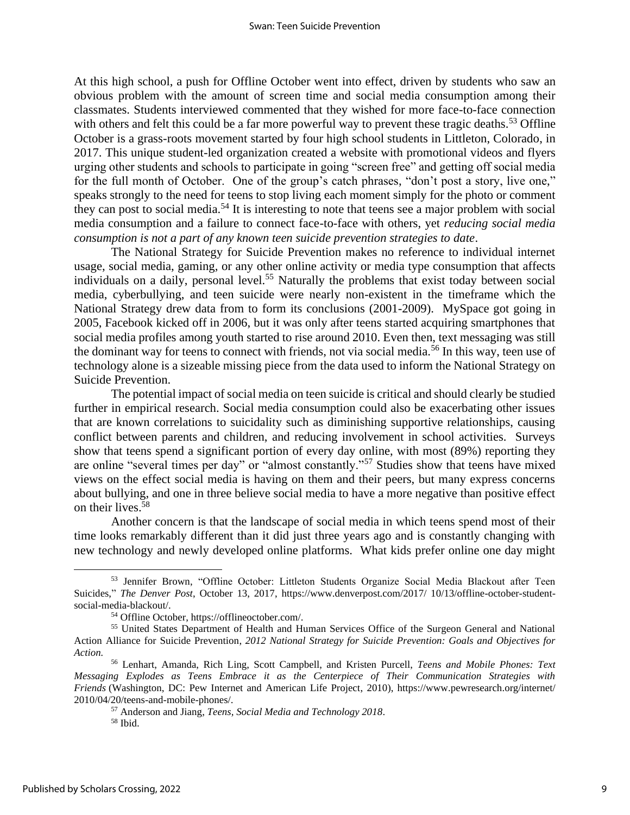At this high school, a push for Offline October went into effect, driven by students who saw an obvious problem with the amount of screen time and social media consumption among their classmates. Students interviewed commented that they wished for more face-to-face connection with others and felt this could be a far more powerful way to prevent these tragic deaths.<sup>53</sup> Offline October is a grass-roots movement started by four high school students in Littleton, Colorado, in 2017. This unique student-led organization created a website with promotional videos and flyers urging other students and schools to participate in going "screen free" and getting off social media for the full month of October. One of the group's catch phrases, "don't post a story, live one," speaks strongly to the need for teens to stop living each moment simply for the photo or comment they can post to social media.<sup>54</sup> It is interesting to note that teens see a major problem with social media consumption and a failure to connect face-to-face with others, yet *reducing social media consumption is not a part of any known teen suicide prevention strategies to date*.

The National Strategy for Suicide Prevention makes no reference to individual internet usage, social media, gaming, or any other online activity or media type consumption that affects individuals on a daily, personal level.<sup>55</sup> Naturally the problems that exist today between social media, cyberbullying, and teen suicide were nearly non-existent in the timeframe which the National Strategy drew data from to form its conclusions (2001-2009). MySpace got going in 2005, Facebook kicked off in 2006, but it was only after teens started acquiring smartphones that social media profiles among youth started to rise around 2010. Even then, text messaging was still the dominant way for teens to connect with friends, not via social media.<sup>56</sup> In this way, teen use of technology alone is a sizeable missing piece from the data used to inform the National Strategy on Suicide Prevention.

The potential impact of social media on teen suicide is critical and should clearly be studied further in empirical research. Social media consumption could also be exacerbating other issues that are known correlations to suicidality such as diminishing supportive relationships, causing conflict between parents and children, and reducing involvement in school activities. Surveys show that teens spend a significant portion of every day online, with most (89%) reporting they are online "several times per day" or "almost constantly."<sup>57</sup> Studies show that teens have mixed views on the effect social media is having on them and their peers, but many express concerns about bullying, and one in three believe social media to have a more negative than positive effect on their lives.<sup>58</sup>

Another concern is that the landscape of social media in which teens spend most of their time looks remarkably different than it did just three years ago and is constantly changing with new technology and newly developed online platforms. What kids prefer online one day might

<sup>53</sup> Jennifer Brown, "Offline October: Littleton Students Organize Social Media Blackout after Teen Suicides," *The Denver Post*, October 13, 2017, https://www.denverpost.com/2017/ 10/13/offline-october-studentsocial-media-blackout/.

<sup>54</sup> Offline October, https://offlineoctober.com/.

<sup>55</sup> United States Department of Health and Human Services Office of the Surgeon General and National Action Alliance for Suicide Prevention, *2012 National Strategy for Suicide Prevention: Goals and Objectives for Action.*

<sup>56</sup> Lenhart, Amanda, Rich Ling, Scott Campbell, and Kristen Purcell, *Teens and Mobile Phones: Text Messaging Explodes as Teens Embrace it as the Centerpiece of Their Communication Strategies with Friends* (Washington, DC: Pew Internet and American Life Project, 2010), https://www.pewresearch.org/internet/ 2010/04/20/teens-and-mobile-phones/.

<sup>57</sup> Anderson and Jiang, *Teens, Social Media and Technology 2018*.

<sup>58</sup> Ibid.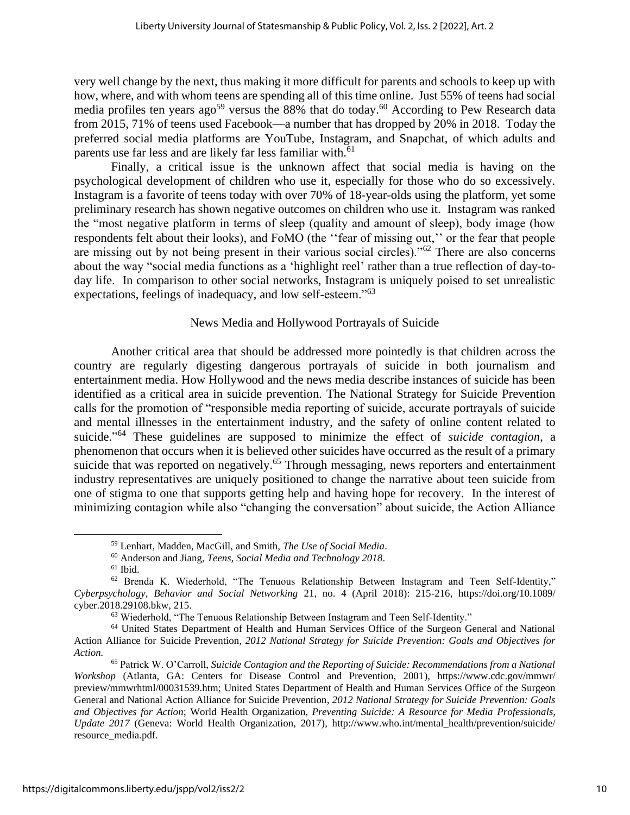very well change by the next, thus making it more difficult for parents and schools to keep up with how, where, and with whom teens are spending all of this time online. Just 55% of teens had social media profiles ten years ago<sup>59</sup> versus the 88% that do today.<sup>60</sup> According to Pew Research data from 2015, 71% of teens used Facebook—a number that has dropped by 20% in 2018. Today the preferred social media platforms are YouTube, Instagram, and Snapchat, of which adults and parents use far less and are likely far less familiar with.<sup>61</sup>

Finally, a critical issue is the unknown affect that social media is having on the psychological development of children who use it, especially for those who do so excessively. Instagram is a favorite of teens today with over 70% of 18-year-olds using the platform, yet some preliminary research has shown negative outcomes on children who use it. Instagram was ranked the "most negative platform in terms of sleep (quality and amount of sleep), body image (how respondents felt about their looks), and FoMO (the ''fear of missing out,'' or the fear that people are missing out by not being present in their various social circles)."<sup>62</sup> There are also concerns about the way "social media functions as a 'highlight reel' rather than a true reflection of day-today life. In comparison to other social networks, Instagram is uniquely poised to set unrealistic expectations, feelings of inadequacy, and low self-esteem."<sup>63</sup>

# News Media and Hollywood Portrayals of Suicide

Another critical area that should be addressed more pointedly is that children across the country are regularly digesting dangerous portrayals of suicide in both journalism and entertainment media. How Hollywood and the news media describe instances of suicide has been identified as a critical area in suicide prevention. The National Strategy for Suicide Prevention calls for the promotion of "responsible media reporting of suicide, accurate portrayals of suicide and mental illnesses in the entertainment industry, and the safety of online content related to suicide." <sup>64</sup> These guidelines are supposed to minimize the effect of *suicide contagion*, a phenomenon that occurs when it is believed other suicides have occurred as the result of a primary suicide that was reported on negatively.<sup>65</sup> Through messaging, news reporters and entertainment industry representatives are uniquely positioned to change the narrative about teen suicide from one of stigma to one that supports getting help and having hope for recovery. In the interest of minimizing contagion while also "changing the conversation" about suicide, the Action Alliance

<sup>59</sup> Lenhart, Madden, MacGill, and Smith, *The Use of Social Media*.

<sup>60</sup> Anderson and Jiang, *Teens, Social Media and Technology 2018*.

 $61$  Ibid.

<sup>62</sup> Brenda K. Wiederhold, "The Tenuous Relationship Between Instagram and Teen Self-Identity," *Cyberpsychology, Behavior and Social Networking* 21, no. 4 (April 2018): 215-216, https://doi.org/10.1089/ cyber.2018.29108.bkw, 215.

<sup>63</sup> Wiederhold, "The Tenuous Relationship Between Instagram and Teen Self-Identity."

<sup>64</sup> United States Department of Health and Human Services Office of the Surgeon General and National Action Alliance for Suicide Prevention, *2012 National Strategy for Suicide Prevention: Goals and Objectives for Action.*

<sup>65</sup> Patrick W. O'Carroll, *Suicide Contagion and the Reporting of Suicide: Recommendations from a National Workshop* (Atlanta, GA: Centers for Disease Control and Prevention, 2001), https://www.cdc.gov/mmwr/ preview/mmwrhtml/00031539.htm; United States Department of Health and Human Services Office of the Surgeon General and National Action Alliance for Suicide Prevention, *2012 National Strategy for Suicide Prevention: Goals and Objectives for Action*; World Health Organization, *Preventing Suicide: A Resource for Media Professionals, Update 2017* (Geneva: World Health Organization, 2017), http://www.who.int/mental\_health/prevention/suicide/ resource\_media.pdf.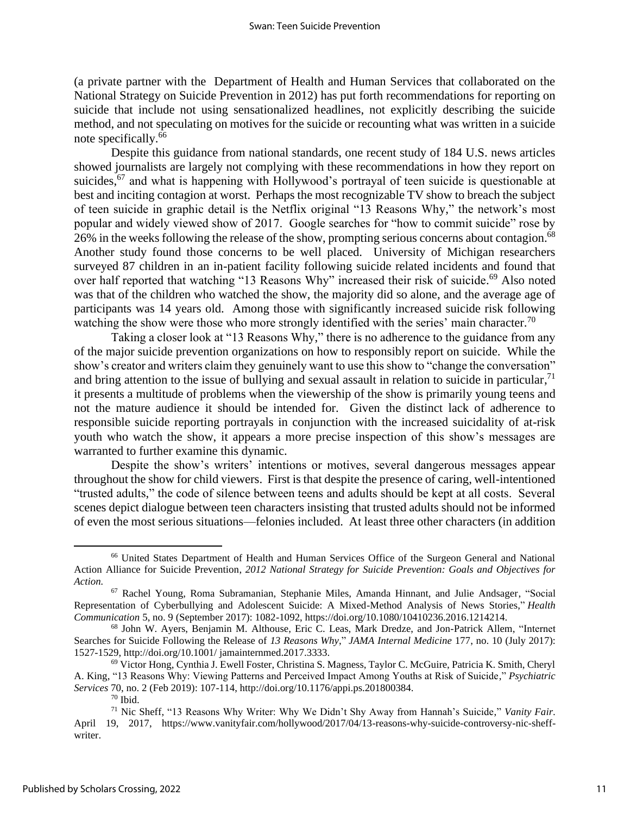(a private partner with the Department of Health and Human Services that collaborated on the National Strategy on Suicide Prevention in 2012) has put forth recommendations for reporting on suicide that include not using sensationalized headlines, not explicitly describing the suicide method, and not speculating on motives for the suicide or recounting what was written in a suicide note specifically. 66

Despite this guidance from national standards, one recent study of 184 U.S. news articles showed journalists are largely not complying with these recommendations in how they report on suicides,<sup>67</sup> and what is happening with Hollywood's portrayal of teen suicide is questionable at best and inciting contagion at worst. Perhaps the most recognizable TV show to breach the subject of teen suicide in graphic detail is the Netflix original "13 Reasons Why," the network's most popular and widely viewed show of 2017. Google searches for "how to commit suicide" rose by 26% in the weeks following the release of the show, prompting serious concerns about contagion.<sup>68</sup> Another study found those concerns to be well placed. University of Michigan researchers surveyed 87 children in an in-patient facility following suicide related incidents and found that over half reported that watching "13 Reasons Why" increased their risk of suicide.<sup>69</sup> Also noted was that of the children who watched the show, the majority did so alone, and the average age of participants was 14 years old. Among those with significantly increased suicide risk following watching the show were those who more strongly identified with the series' main character.<sup>70</sup>

Taking a closer look at "13 Reasons Why," there is no adherence to the guidance from any of the major suicide prevention organizations on how to responsibly report on suicide. While the show's creator and writers claim they genuinely want to use this show to "change the conversation" and bring attention to the issue of bullying and sexual assault in relation to suicide in particular,  $71$ it presents a multitude of problems when the viewership of the show is primarily young teens and not the mature audience it should be intended for. Given the distinct lack of adherence to responsible suicide reporting portrayals in conjunction with the increased suicidality of at-risk youth who watch the show, it appears a more precise inspection of this show's messages are warranted to further examine this dynamic.

Despite the show's writers' intentions or motives, several dangerous messages appear throughout the show for child viewers. First is that despite the presence of caring, well-intentioned "trusted adults," the code of silence between teens and adults should be kept at all costs. Several scenes depict dialogue between teen characters insisting that trusted adults should not be informed of even the most serious situations—felonies included. At least three other characters (in addition

<sup>66</sup> United States Department of Health and Human Services Office of the Surgeon General and National Action Alliance for Suicide Prevention, *2012 National Strategy for Suicide Prevention: Goals and Objectives for Action.*

<sup>67</sup> Rachel Young, Roma Subramanian, Stephanie Miles, Amanda Hinnant, and Julie Andsager, "Social Representation of Cyberbullying and Adolescent Suicide: A Mixed-Method Analysis of News Stories," *Health Communication* 5, no. 9 (September 2017): 1082-1092, https://doi.org/10.1080/10410236.2016.1214214.

<sup>68</sup> John W. Ayers, Benjamin M. Althouse, Eric C. Leas, Mark Dredze, and Jon-Patrick Allem, "Internet Searches for Suicide Following the Release of *13 Reasons Why*," *JAMA Internal Medicine* 177, no. 10 (July 2017): 1527-1529, http://doi.org/10.1001/ jamainternmed.2017.3333.

 $69$  Victor Hong, Cynthia J. Ewell Foster, Christina S. Magness, Taylor C. McGuire, Patricia K. Smith, Cheryl A. King, "13 Reasons Why: Viewing Patterns and Perceived Impact Among Youths at Risk of Suicide," *Psychiatric Services* 70, no. 2 (Feb 2019): 107-114, http://doi.org/10.1176/appi.ps.201800384.

 $70$  Ibid.

<sup>71</sup> Nic Sheff, "13 Reasons Why Writer: Why We Didn't Shy Away from Hannah's Suicide," *Vanity Fair*. April 19, 2017, https://www.vanityfair.com/hollywood/2017/04/13-reasons-why-suicide-controversy-nic-sheffwriter.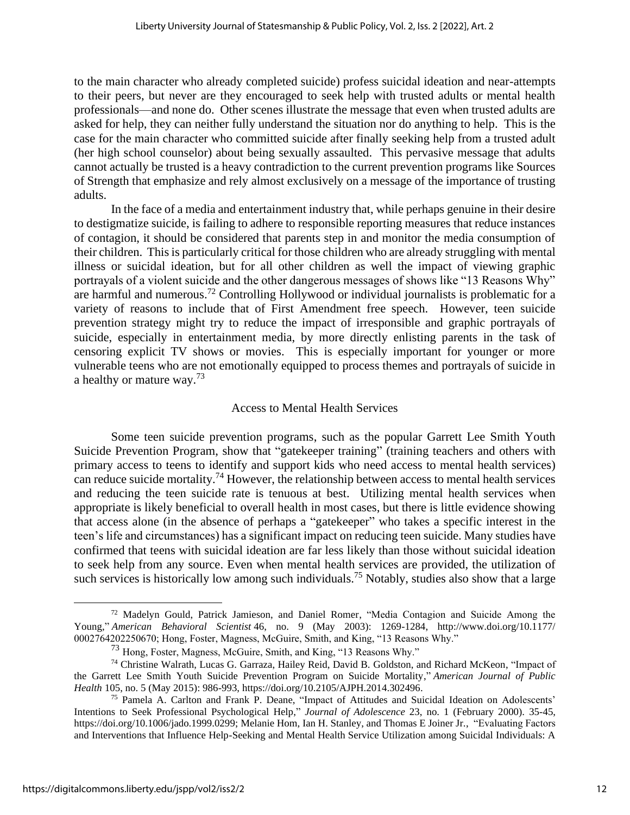to the main character who already completed suicide) profess suicidal ideation and near-attempts to their peers, but never are they encouraged to seek help with trusted adults or mental health professionals—and none do. Other scenes illustrate the message that even when trusted adults are asked for help, they can neither fully understand the situation nor do anything to help. This is the case for the main character who committed suicide after finally seeking help from a trusted adult (her high school counselor) about being sexually assaulted. This pervasive message that adults cannot actually be trusted is a heavy contradiction to the current prevention programs like Sources of Strength that emphasize and rely almost exclusively on a message of the importance of trusting adults.

In the face of a media and entertainment industry that, while perhaps genuine in their desire to destigmatize suicide, is failing to adhere to responsible reporting measures that reduce instances of contagion, it should be considered that parents step in and monitor the media consumption of their children. This is particularly critical for those children who are already struggling with mental illness or suicidal ideation, but for all other children as well the impact of viewing graphic portrayals of a violent suicide and the other dangerous messages of shows like "13 Reasons Why" are harmful and numerous.<sup>72</sup> Controlling Hollywood or individual journalists is problematic for a variety of reasons to include that of First Amendment free speech. However, teen suicide prevention strategy might try to reduce the impact of irresponsible and graphic portrayals of suicide, especially in entertainment media, by more directly enlisting parents in the task of censoring explicit TV shows or movies. This is especially important for younger or more vulnerable teens who are not emotionally equipped to process themes and portrayals of suicide in a healthy or mature way.<sup>73</sup>

# Access to Mental Health Services

Some teen suicide prevention programs, such as the popular Garrett Lee Smith Youth Suicide Prevention Program, show that "gatekeeper training" (training teachers and others with primary access to teens to identify and support kids who need access to mental health services) can reduce suicide mortality.<sup>74</sup> However, the relationship between access to mental health services and reducing the teen suicide rate is tenuous at best. Utilizing mental health services when appropriate is likely beneficial to overall health in most cases, but there is little evidence showing that access alone (in the absence of perhaps a "gatekeeper" who takes a specific interest in the teen's life and circumstances) has a significant impact on reducing teen suicide. Many studies have confirmed that teens with suicidal ideation are far less likely than those without suicidal ideation to seek help from any source. Even when mental health services are provided, the utilization of such services is historically low among such individuals.<sup>75</sup> Notably, studies also show that a large

<sup>72</sup> Madelyn Gould, Patrick Jamieson, and Daniel Romer, "Media Contagion and Suicide Among the Young," *American Behavioral Scientist* 46, no. 9 (May 2003): 1269-1284, http://www.doi.org/10.1177/ 0002764202250670; Hong, Foster, Magness, McGuire, Smith, and King, "13 Reasons Why."

<sup>73</sup> Hong, Foster, Magness, McGuire, Smith, and King, "13 Reasons Why."

<sup>74</sup> Christine Walrath, Lucas G. Garraza, Hailey Reid, David B. Goldston, and Richard McKeon, "Impact of the Garrett Lee Smith Youth Suicide Prevention Program on Suicide Mortality," *American Journal of Public Health* 105, no. 5 (May 2015): 986-993, https://doi.org/10.2105/AJPH.2014.302496.

<sup>75</sup> Pamela A. Carlton and Frank P. Deane, "Impact of Attitudes and Suicidal Ideation on Adolescents' Intentions to Seek Professional Psychological Help," *Journal of Adolescence* 23, no. 1 (February 2000). 35-45, https://doi.org/10.1006/jado.1999.0299; Melanie Hom, Ian H. Stanley, and Thomas E Joiner Jr., "Evaluating Factors and Interventions that Influence Help-Seeking and Mental Health Service Utilization among Suicidal Individuals: A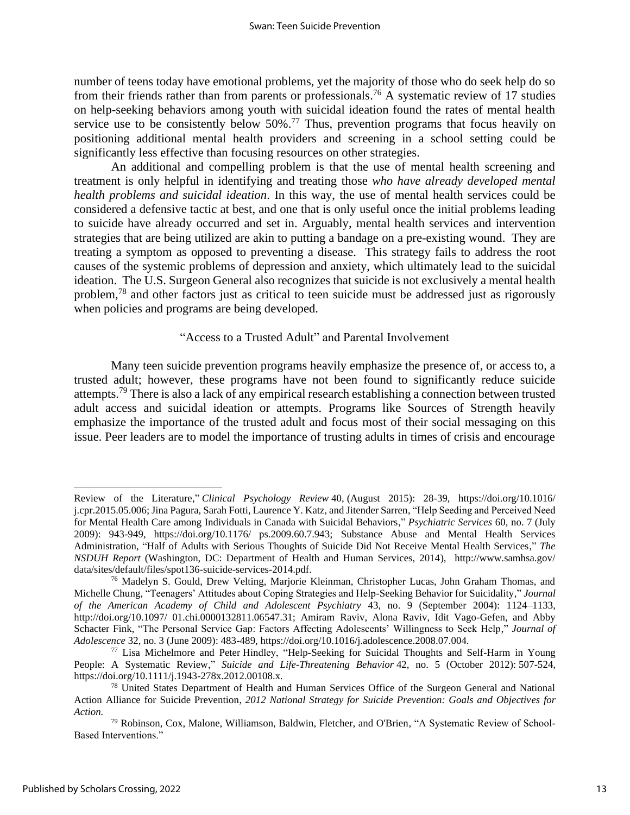number of teens today have emotional problems, yet the majority of those who do seek help do so from their friends rather than from parents or professionals.<sup>76</sup> A systematic review of 17 studies on help-seeking behaviors among youth with suicidal ideation found the rates of mental health service use to be consistently below  $50\%$ .<sup>77</sup> Thus, prevention programs that focus heavily on positioning additional mental health providers and screening in a school setting could be significantly less effective than focusing resources on other strategies.

An additional and compelling problem is that the use of mental health screening and treatment is only helpful in identifying and treating those *who have already developed mental health problems and suicidal ideation*. In this way, the use of mental health services could be considered a defensive tactic at best, and one that is only useful once the initial problems leading to suicide have already occurred and set in. Arguably, mental health services and intervention strategies that are being utilized are akin to putting a bandage on a pre-existing wound. They are treating a symptom as opposed to preventing a disease. This strategy fails to address the root causes of the systemic problems of depression and anxiety, which ultimately lead to the suicidal ideation. The U.S. Surgeon General also recognizes that suicide is not exclusively a mental health problem,<sup>78</sup> and other factors just as critical to teen suicide must be addressed just as rigorously when policies and programs are being developed.

### "Access to a Trusted Adult" and Parental Involvement

Many teen suicide prevention programs heavily emphasize the presence of, or access to, a trusted adult; however, these programs have not been found to significantly reduce suicide attempts.<sup>79</sup> There is also a lack of any empirical research establishing a connection between trusted adult access and suicidal ideation or attempts. Programs like Sources of Strength heavily emphasize the importance of the trusted adult and focus most of their social messaging on this issue. Peer leaders are to model the importance of trusting adults in times of crisis and encourage

Review of the Literature," *Clinical Psychology Review* 40, (August 2015): 28-39, https://doi.org/10.1016/ j.cpr.2015.05.006; Jina Pagura, Sarah Fotti, Laurence Y. Katz, and Jitender Sarren, "Help Seeding and Perceived Need for Mental Health Care among Individuals in Canada with Suicidal Behaviors," *Psychiatric Services* 60, no. 7 (July 2009): 943-949, https://doi.org/10.1176/ ps.2009.60.7.943; Substance Abuse and Mental Health Services Administration, "Half of Adults with Serious Thoughts of Suicide Did Not Receive Mental Health Services," *The NSDUH Report* (Washington, DC: Department of Health and Human Services, 2014), http://www.samhsa.gov/ data/sites/default/files/spot136-suicide-services-2014.pdf.

<sup>76</sup> Madelyn S. Gould, Drew Velting, Marjorie Kleinman, Christopher Lucas, John Graham Thomas, and Michelle Chung, "Teenagers' Attitudes about Coping Strategies and Help-Seeking Behavior for Suicidality," *Journal of the American Academy of Child and Adolescent Psychiatry* 43, no. 9 (September 2004): 1124–1133, http://doi.org/10.1097/ 01.chi.0000132811.06547.31; Amiram Raviv, Alona Raviv, Idit Vago-Gefen, and Abby Schacter Fink, "The Personal Service Gap: Factors Affecting Adolescents' Willingness to Seek Help," *Journal of Adolescence* 32, no. 3 (June 2009): 483-489, https://doi.org/10.1016/j.adolescence.2008.07.004.

<sup>&</sup>lt;sup>77</sup> Lisa Michelmore and Peter Hindley, "Help-Seeking for Suicidal Thoughts and Self-Harm in Young People: A Systematic Review," *Suicide and Life-Threatening Behavior* 42, no. 5 (October 2012): 507-524, https://doi.org/10.1111/j.1943-278x.2012.00108.x.

<sup>78</sup> United States Department of Health and Human Services Office of the Surgeon General and National Action Alliance for Suicide Prevention, *2012 National Strategy for Suicide Prevention: Goals and Objectives for Action.*

<sup>79</sup> Robinson, Cox, Malone, Williamson, Baldwin, Fletcher, and O'Brien, "A Systematic Review of School-Based Interventions."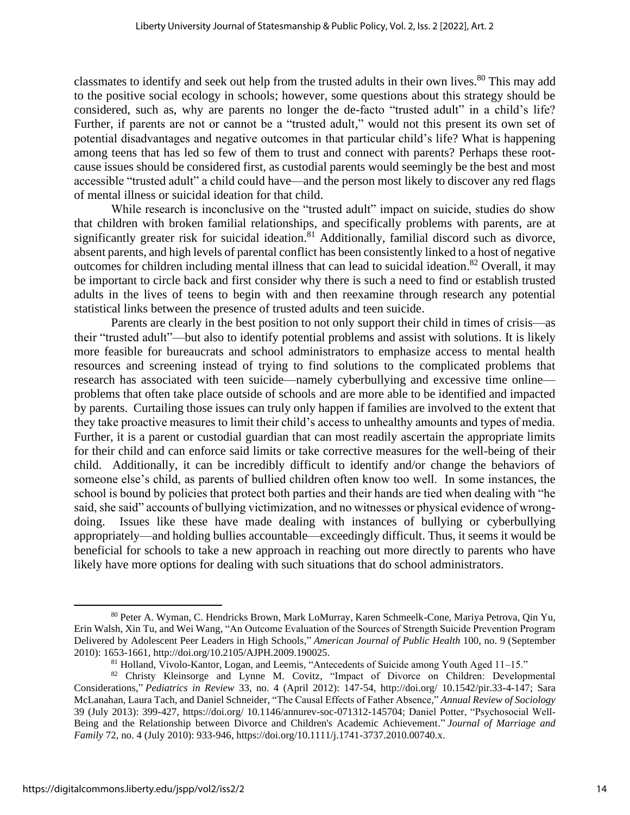classmates to identify and seek out help from the trusted adults in their own lives. <sup>80</sup> This may add to the positive social ecology in schools; however, some questions about this strategy should be considered, such as, why are parents no longer the de-facto "trusted adult" in a child's life? Further, if parents are not or cannot be a "trusted adult," would not this present its own set of potential disadvantages and negative outcomes in that particular child's life? What is happening among teens that has led so few of them to trust and connect with parents? Perhaps these rootcause issues should be considered first, as custodial parents would seemingly be the best and most accessible "trusted adult" a child could have—and the person most likely to discover any red flags of mental illness or suicidal ideation for that child.

While research is inconclusive on the "trusted adult" impact on suicide, studies do show that children with broken familial relationships, and specifically problems with parents, are at significantly greater risk for suicidal ideation.<sup>81</sup> Additionally, familial discord such as divorce, absent parents, and high levels of parental conflict has been consistently linked to a host of negative outcomes for children including mental illness that can lead to suicidal ideation.<sup>82</sup> Overall, it may be important to circle back and first consider why there is such a need to find or establish trusted adults in the lives of teens to begin with and then reexamine through research any potential statistical links between the presence of trusted adults and teen suicide.

Parents are clearly in the best position to not only support their child in times of crisis—as their "trusted adult"—but also to identify potential problems and assist with solutions. It is likely more feasible for bureaucrats and school administrators to emphasize access to mental health resources and screening instead of trying to find solutions to the complicated problems that research has associated with teen suicide—namely cyberbullying and excessive time online problems that often take place outside of schools and are more able to be identified and impacted by parents. Curtailing those issues can truly only happen if families are involved to the extent that they take proactive measures to limit their child's access to unhealthy amounts and types of media. Further, it is a parent or custodial guardian that can most readily ascertain the appropriate limits for their child and can enforce said limits or take corrective measures for the well-being of their child. Additionally, it can be incredibly difficult to identify and/or change the behaviors of someone else's child, as parents of bullied children often know too well. In some instances, the school is bound by policies that protect both parties and their hands are tied when dealing with "he said, she said" accounts of bullying victimization, and no witnesses or physical evidence of wrongdoing. Issues like these have made dealing with instances of bullying or cyberbullying appropriately—and holding bullies accountable—exceedingly difficult. Thus, it seems it would be beneficial for schools to take a new approach in reaching out more directly to parents who have likely have more options for dealing with such situations that do school administrators.

<sup>80</sup> Peter A. Wyman, C. Hendricks Brown, Mark LoMurray, Karen Schmeelk-Cone, Mariya Petrova, Qin Yu, Erin Walsh, Xin Tu, and Wei Wang, "An Outcome Evaluation of the Sources of Strength Suicide Prevention Program Delivered by Adolescent Peer Leaders in High Schools," *American Journal of Public Health* 100, no. 9 (September 2010): 1653-1661, http://doi.org/10.2105/AJPH.2009.190025.

<sup>81</sup> Holland, Vivolo-Kantor, Logan, and Leemis, "Antecedents of Suicide among Youth Aged 11–15."

<sup>82</sup> Christy Kleinsorge and Lynne M. Covitz, "Impact of Divorce on Children: Developmental Considerations," *Pediatrics in Review* 33, no. 4 (April 2012): 147-54, http://doi.org/ 10.1542/pir.33-4-147; Sara McLanahan, Laura Tach, and Daniel Schneider, "The Causal Effects of Father Absence," *Annual Review of Sociology*  39 (July 2013): 399-427, https://doi.org/ 10.1146/annurev-soc-071312-145704; Daniel Potter, "Psychosocial Well‐ Being and the Relationship between Divorce and Children's Academic Achievement." *Journal of Marriage and Family* 72, no. 4 (July 2010): 933-946, https://doi.org/10.1111/j.1741-3737.2010.00740.x.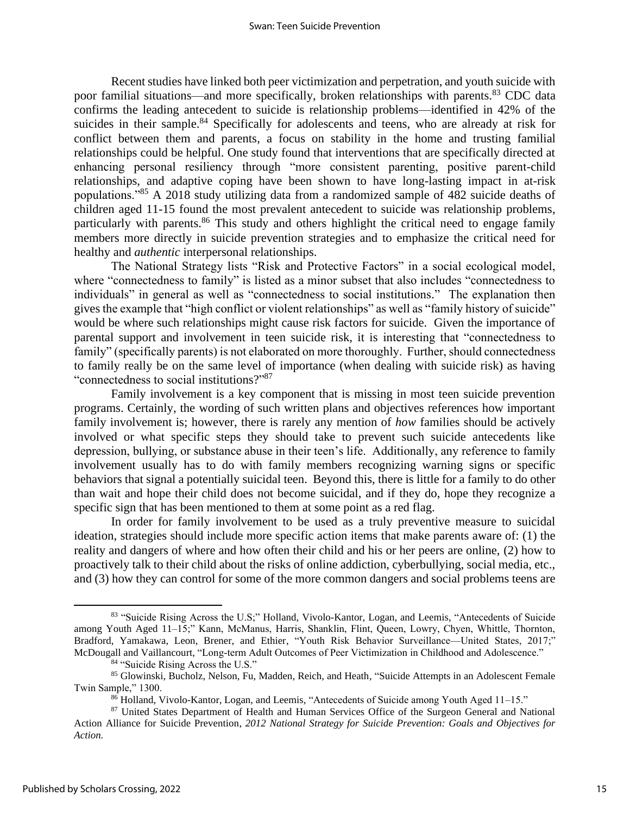Recent studies have linked both peer victimization and perpetration, and youth suicide with poor familial situations—and more specifically, broken relationships with parents.<sup>83</sup> CDC data confirms the leading antecedent to suicide is relationship problems—identified in 42% of the suicides in their sample.<sup>84</sup> Specifically for adolescents and teens, who are already at risk for conflict between them and parents, a focus on stability in the home and trusting familial relationships could be helpful. One study found that interventions that are specifically directed at enhancing personal resiliency through "more consistent parenting, positive parent-child relationships, and adaptive coping have been shown to have long-lasting impact in at-risk populations."<sup>85</sup> A 2018 study utilizing data from a randomized sample of 482 suicide deaths of children aged 11-15 found the most prevalent antecedent to suicide was relationship problems, particularly with parents.<sup>86</sup> This study and others highlight the critical need to engage family members more directly in suicide prevention strategies and to emphasize the critical need for healthy and *authentic* interpersonal relationships.

The National Strategy lists "Risk and Protective Factors" in a social ecological model, where "connectedness to family" is listed as a minor subset that also includes "connectedness to individuals" in general as well as "connectedness to social institutions." The explanation then gives the example that "high conflict or violent relationships" as well as "family history of suicide" would be where such relationships might cause risk factors for suicide. Given the importance of parental support and involvement in teen suicide risk, it is interesting that "connectedness to family" (specifically parents) is not elaborated on more thoroughly. Further, should connectedness to family really be on the same level of importance (when dealing with suicide risk) as having "connectedness to social institutions?" 87

Family involvement is a key component that is missing in most teen suicide prevention programs. Certainly, the wording of such written plans and objectives references how important family involvement is; however, there is rarely any mention of *how* families should be actively involved or what specific steps they should take to prevent such suicide antecedents like depression, bullying, or substance abuse in their teen's life. Additionally, any reference to family involvement usually has to do with family members recognizing warning signs or specific behaviors that signal a potentially suicidal teen. Beyond this, there is little for a family to do other than wait and hope their child does not become suicidal, and if they do, hope they recognize a specific sign that has been mentioned to them at some point as a red flag.

In order for family involvement to be used as a truly preventive measure to suicidal ideation, strategies should include more specific action items that make parents aware of: (1) the reality and dangers of where and how often their child and his or her peers are online, (2) how to proactively talk to their child about the risks of online addiction, cyberbullying, social media, etc., and (3) how they can control for some of the more common dangers and social problems teens are

<sup>83 &</sup>quot;Suicide Rising Across the U.S;" Holland, Vivolo-Kantor, Logan, and Leemis, "Antecedents of Suicide among Youth Aged 11–15;" Kann, McManus, Harris, Shanklin, Flint, Queen, Lowry, Chyen, Whittle, Thornton, Bradford, Yamakawa, Leon, Brener, and Ethier, "Youth Risk Behavior Surveillance—United States, 2017;" McDougall and Vaillancourt, "Long-term Adult Outcomes of Peer Victimization in Childhood and Adolescence."

<sup>84</sup> "Suicide Rising Across the U.S."

<sup>85</sup> Glowinski, Bucholz, Nelson, Fu, Madden, Reich, and Heath, "Suicide Attempts in an Adolescent Female Twin Sample," 1300.

 $86$  Holland, Vivolo-Kantor, Logan, and Leemis, "Antecedents of Suicide among Youth Aged 11–15."

<sup>&</sup>lt;sup>87</sup> United States Department of Health and Human Services Office of the Surgeon General and National Action Alliance for Suicide Prevention, *2012 National Strategy for Suicide Prevention: Goals and Objectives for Action.*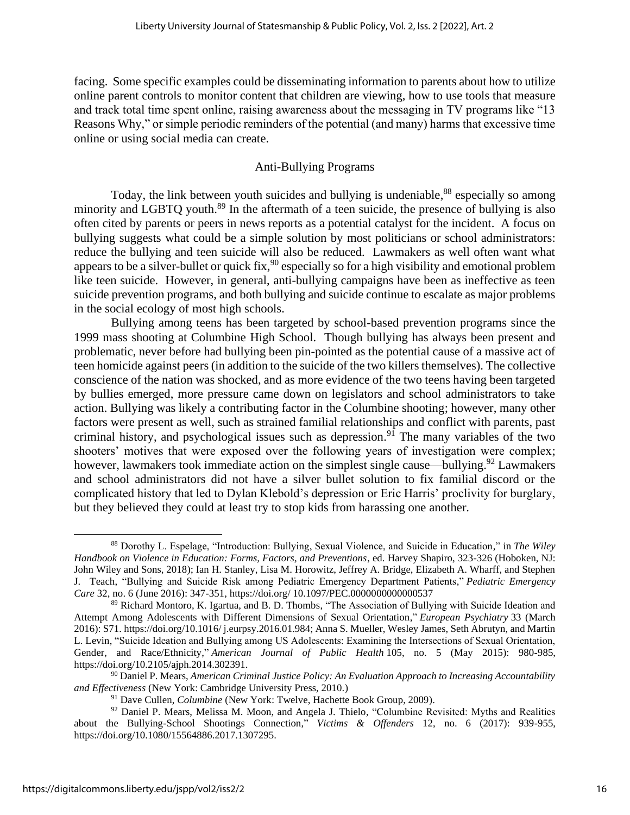facing. Some specific examples could be disseminating information to parents about how to utilize online parent controls to monitor content that children are viewing, how to use tools that measure and track total time spent online, raising awareness about the messaging in TV programs like "13 Reasons Why," or simple periodic reminders of the potential (and many) harms that excessive time online or using social media can create.

# Anti-Bullying Programs

Today, the link between youth suicides and bullying is undeniable,<sup>88</sup> especially so among minority and LGBTQ youth.<sup>89</sup> In the aftermath of a teen suicide, the presence of bullying is also often cited by parents or peers in news reports as a potential catalyst for the incident. A focus on bullying suggests what could be a simple solution by most politicians or school administrators: reduce the bullying and teen suicide will also be reduced. Lawmakers as well often want what appears to be a silver-bullet or quick fix,  $90$  especially so for a high visibility and emotional problem like teen suicide. However, in general, anti-bullying campaigns have been as ineffective as teen suicide prevention programs, and both bullying and suicide continue to escalate as major problems in the social ecology of most high schools.

Bullying among teens has been targeted by school-based prevention programs since the 1999 mass shooting at Columbine High School. Though bullying has always been present and problematic, never before had bullying been pin-pointed as the potential cause of a massive act of teen homicide against peers (in addition to the suicide of the two killers themselves). The collective conscience of the nation was shocked, and as more evidence of the two teens having been targeted by bullies emerged, more pressure came down on legislators and school administrators to take action. Bullying was likely a contributing factor in the Columbine shooting; however, many other factors were present as well, such as strained familial relationships and conflict with parents, past criminal history, and psychological issues such as depression. <sup>91</sup> The many variables of the two shooters' motives that were exposed over the following years of investigation were complex; however, lawmakers took immediate action on the simplest single cause—bullying.<sup>92</sup> Lawmakers and school administrators did not have a silver bullet solution to fix familial discord or the complicated history that led to Dylan Klebold's depression or Eric Harris' proclivity for burglary, but they believed they could at least try to stop kids from harassing one another.

<sup>88</sup> Dorothy L. Espelage, "Introduction: Bullying, Sexual Violence, and Suicide in Education," in *The Wiley Handbook on Violence in Education: Forms, Factors, and Preventions*, ed. Harvey Shapiro, 323-326 (Hoboken, NJ: John Wiley and Sons, 2018); Ian H. Stanley, Lisa M. Horowitz, Jeffrey A. Bridge, Elizabeth A. Wharff, and Stephen J. Teach, "Bullying and Suicide Risk among Pediatric Emergency Department Patients," *Pediatric Emergency Care* 32, no. 6 (June 2016): 347-351, https://doi.org/ 10.1097/PEC.0000000000000537

<sup>89</sup> Richard Montoro, K. Igartua, and B. D. Thombs, "The Association of Bullying with Suicide Ideation and Attempt Among Adolescents with Different Dimensions of Sexual Orientation," *European Psychiatry* 33 (March 2016): S71. https://doi.org/10.1016/ j.eurpsy.2016.01.984; Anna S. Mueller, Wesley James, Seth Abrutyn, and Martin L. Levin, "Suicide Ideation and Bullying among US Adolescents: Examining the Intersections of Sexual Orientation, Gender, and Race/Ethnicity," *American Journal of Public Health* 105, no. 5 (May 2015): 980-985, https://doi.org/10.2105/ajph.2014.302391.

<sup>90</sup> Daniel P. Mears, *American Criminal Justice Policy: An Evaluation Approach to Increasing Accountability and Effectiveness* (New York: Cambridge University Press, 2010.)

<sup>&</sup>lt;sup>91</sup> Dave Cullen, *Columbine* (New York: Twelve, Hachette Book Group, 2009).

<sup>&</sup>lt;sup>92</sup> Daniel P. Mears, Melissa M. Moon, and Angela J. Thielo, "Columbine Revisited: Myths and Realities about the Bullying-School Shootings Connection," *Victims & Offenders* 12, no. 6 (2017): 939-955, https://doi.org/10.1080/15564886.2017.1307295.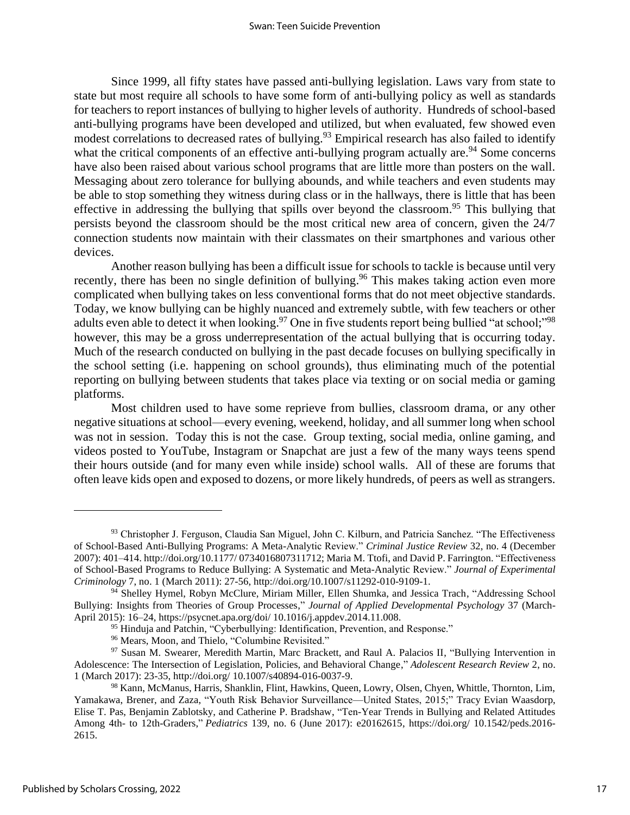Since 1999, all fifty states have passed anti-bullying legislation. Laws vary from state to state but most require all schools to have some form of anti-bullying policy as well as standards for teachers to report instances of bullying to higher levels of authority. Hundreds of school-based anti-bullying programs have been developed and utilized, but when evaluated, few showed even modest correlations to decreased rates of bullying.<sup>93</sup> Empirical research has also failed to identify what the critical components of an effective anti-bullying program actually are.<sup>94</sup> Some concerns have also been raised about various school programs that are little more than posters on the wall. Messaging about zero tolerance for bullying abounds, and while teachers and even students may be able to stop something they witness during class or in the hallways, there is little that has been effective in addressing the bullying that spills over beyond the classroom.<sup>95</sup> This bullying that persists beyond the classroom should be the most critical new area of concern, given the 24/7 connection students now maintain with their classmates on their smartphones and various other devices.

Another reason bullying has been a difficult issue for schools to tackle is because until very recently, there has been no single definition of bullying.<sup>96</sup> This makes taking action even more complicated when bullying takes on less conventional forms that do not meet objective standards. Today, we know bullying can be highly nuanced and extremely subtle, with few teachers or other adults even able to detect it when looking.<sup>97</sup> One in five students report being bullied "at school;"<sup>98</sup> however, this may be a gross underrepresentation of the actual bullying that is occurring today. Much of the research conducted on bullying in the past decade focuses on bullying specifically in the school setting (i.e. happening on school grounds), thus eliminating much of the potential reporting on bullying between students that takes place via texting or on social media or gaming platforms.

Most children used to have some reprieve from bullies, classroom drama, or any other negative situations at school—every evening, weekend, holiday, and all summer long when school was not in session. Today this is not the case. Group texting, social media, online gaming, and videos posted to YouTube, Instagram or Snapchat are just a few of the many ways teens spend their hours outside (and for many even while inside) school walls. All of these are forums that often leave kids open and exposed to dozens, or more likely hundreds, of peers as well as strangers.

<sup>93</sup> Christopher J. Ferguson, Claudia San Miguel, John C. Kilburn, and Patricia Sanchez. "The Effectiveness of School-Based Anti-Bullying Programs: A Meta-Analytic Review." *Criminal Justice Review* 32, no. 4 (December 2007): 401–414. http://doi.org/10.1177/ 0734016807311712; Maria M. Ttofi, and David P. Farrington. "Effectiveness of School-Based Programs to Reduce Bullying: A Systematic and Meta-Analytic Review." *Journal of Experimental Criminology* 7, no. 1 (March 2011): 27-56, http://doi.org/10.1007/s11292-010-9109-1.

<sup>94</sup> Shelley Hymel, Robyn McClure, Miriam Miller, Ellen Shumka, and Jessica Trach, "Addressing School Bullying: Insights from Theories of Group Processes," *Journal of Applied Developmental Psychology* 37 (March-April 2015): 16–24, https://psycnet.apa.org/doi/ 10.1016/j.appdev.2014.11.008.

<sup>&</sup>lt;sup>95</sup> Hinduja and Patchin, "Cyberbullying: Identification, Prevention, and Response."

<sup>96</sup> Mears, Moon, and Thielo, "Columbine Revisited."

<sup>97</sup> Susan M. Swearer, Meredith Martin, Marc Brackett, and Raul A. Palacios II, "Bullying Intervention in Adolescence: The Intersection of Legislation, Policies, and Behavioral Change," *Adolescent Research Review* 2, no. 1 (March 2017): 23-35, http://doi.org/ 10.1007/s40894-016-0037-9.

<sup>98</sup> Kann, McManus, Harris, Shanklin, Flint, Hawkins, Queen, Lowry, Olsen, Chyen, Whittle, Thornton, Lim, Yamakawa, Brener, and Zaza, "Youth Risk Behavior Surveillance—United States, 2015;" Tracy Evian Waasdorp, Elise T. Pas, Benjamin Zablotsky, and Catherine P. Bradshaw, "Ten-Year Trends in Bullying and Related Attitudes Among 4th- to 12th-Graders," *Pediatrics* 139, no. 6 (June 2017): e20162615, https://doi.org/ 10.1542/peds.2016- 2615.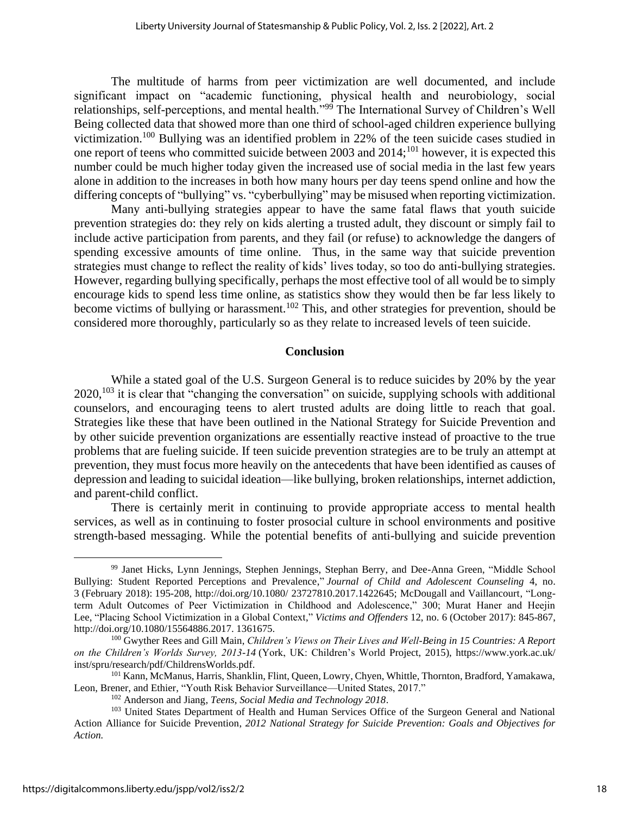The multitude of harms from peer victimization are well documented, and include significant impact on "academic functioning, physical health and neurobiology, social relationships, self-perceptions, and mental health."<sup>99</sup> The International Survey of Children's Well Being collected data that showed more than one third of school-aged children experience bullying victimization.<sup>100</sup> Bullying was an identified problem in 22% of the teen suicide cases studied in one report of teens who committed suicide between 2003 and  $2014$ ;<sup>101</sup> however, it is expected this number could be much higher today given the increased use of social media in the last few years alone in addition to the increases in both how many hours per day teens spend online and how the differing concepts of "bullying" vs. "cyberbullying" may be misused when reporting victimization.

Many anti-bullying strategies appear to have the same fatal flaws that youth suicide prevention strategies do: they rely on kids alerting a trusted adult, they discount or simply fail to include active participation from parents, and they fail (or refuse) to acknowledge the dangers of spending excessive amounts of time online. Thus, in the same way that suicide prevention strategies must change to reflect the reality of kids' lives today, so too do anti-bullying strategies. However, regarding bullying specifically, perhaps the most effective tool of all would be to simply encourage kids to spend less time online, as statistics show they would then be far less likely to become victims of bullying or harassment.<sup>102</sup> This, and other strategies for prevention, should be considered more thoroughly, particularly so as they relate to increased levels of teen suicide.

#### **Conclusion**

While a stated goal of the U.S. Surgeon General is to reduce suicides by 20% by the year  $2020$ ,  $^{103}$  it is clear that "changing the conversation" on suicide, supplying schools with additional counselors, and encouraging teens to alert trusted adults are doing little to reach that goal. Strategies like these that have been outlined in the National Strategy for Suicide Prevention and by other suicide prevention organizations are essentially reactive instead of proactive to the true problems that are fueling suicide. If teen suicide prevention strategies are to be truly an attempt at prevention, they must focus more heavily on the antecedents that have been identified as causes of depression and leading to suicidal ideation—like bullying, broken relationships, internet addiction, and parent-child conflict.

There is certainly merit in continuing to provide appropriate access to mental health services, as well as in continuing to foster prosocial culture in school environments and positive strength-based messaging. While the potential benefits of anti-bullying and suicide prevention

<sup>99</sup> Janet Hicks, Lynn Jennings, Stephen Jennings, Stephan Berry, and Dee-Anna Green, "Middle School Bullying: Student Reported Perceptions and Prevalence," *Journal of Child and Adolescent Counseling* 4, no. 3 (February 2018): 195-208, http://doi.org/10.1080/ 23727810.2017.1422645; McDougall and Vaillancourt, "Longterm Adult Outcomes of Peer Victimization in Childhood and Adolescence," 300; Murat Haner and Heejin Lee, "Placing School Victimization in a Global Context," *Victims and Offenders* 12, no. 6 (October 2017): 845-867, http://doi.org/10.1080/15564886.2017. 1361675.

<sup>100</sup> Gwyther Rees and Gill Main, *Children's Views on Their Lives and Well-Being in 15 Countries: A Report on the Children's Worlds Survey, 2013-14* (York, UK: Children's World Project, 2015), https://www.york.ac.uk/ inst/spru/research/pdf/ChildrensWorlds.pdf.

<sup>101</sup> Kann, McManus, Harris, Shanklin, Flint, Queen, Lowry, Chyen, Whittle, Thornton, Bradford, Yamakawa, Leon, Brener, and Ethier, "Youth Risk Behavior Surveillance—United States, 2017."

<sup>102</sup> Anderson and Jiang, *Teens, Social Media and Technology 2018*.

<sup>&</sup>lt;sup>103</sup> United States Department of Health and Human Services Office of the Surgeon General and National Action Alliance for Suicide Prevention, *2012 National Strategy for Suicide Prevention: Goals and Objectives for Action.*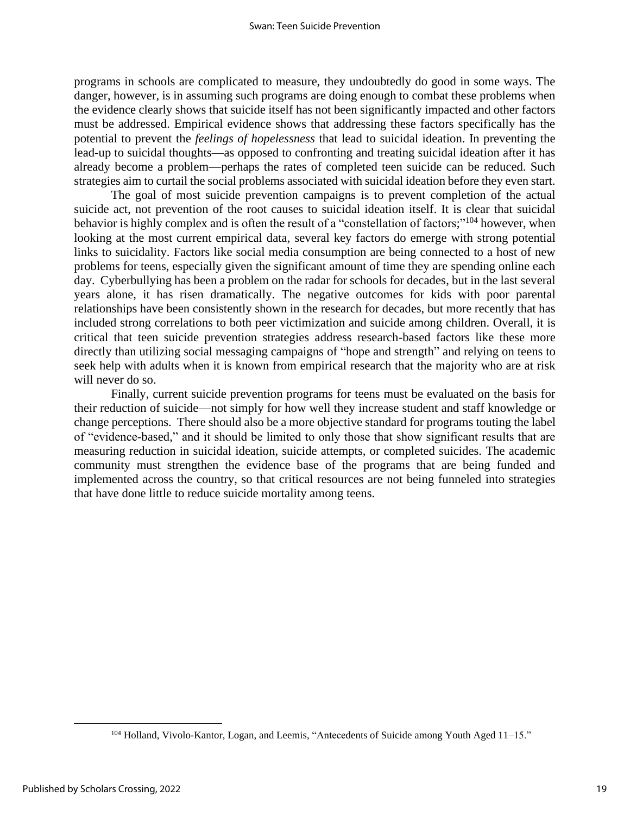programs in schools are complicated to measure, they undoubtedly do good in some ways. The danger, however, is in assuming such programs are doing enough to combat these problems when the evidence clearly shows that suicide itself has not been significantly impacted and other factors must be addressed. Empirical evidence shows that addressing these factors specifically has the potential to prevent the *feelings of hopelessness* that lead to suicidal ideation. In preventing the lead-up to suicidal thoughts—as opposed to confronting and treating suicidal ideation after it has already become a problem—perhaps the rates of completed teen suicide can be reduced. Such strategies aim to curtail the social problems associated with suicidal ideation before they even start.

The goal of most suicide prevention campaigns is to prevent completion of the actual suicide act, not prevention of the root causes to suicidal ideation itself. It is clear that suicidal behavior is highly complex and is often the result of a "constellation of factors;"<sup>104</sup> however, when looking at the most current empirical data, several key factors do emerge with strong potential links to suicidality. Factors like social media consumption are being connected to a host of new problems for teens, especially given the significant amount of time they are spending online each day. Cyberbullying has been a problem on the radar for schools for decades, but in the last several years alone, it has risen dramatically. The negative outcomes for kids with poor parental relationships have been consistently shown in the research for decades, but more recently that has included strong correlations to both peer victimization and suicide among children. Overall, it is critical that teen suicide prevention strategies address research-based factors like these more directly than utilizing social messaging campaigns of "hope and strength" and relying on teens to seek help with adults when it is known from empirical research that the majority who are at risk will never do so.

Finally, current suicide prevention programs for teens must be evaluated on the basis for their reduction of suicide—not simply for how well they increase student and staff knowledge or change perceptions. There should also be a more objective standard for programs touting the label of "evidence-based," and it should be limited to only those that show significant results that are measuring reduction in suicidal ideation, suicide attempts, or completed suicides. The academic community must strengthen the evidence base of the programs that are being funded and implemented across the country, so that critical resources are not being funneled into strategies that have done little to reduce suicide mortality among teens.

<sup>104</sup> Holland, Vivolo-Kantor, Logan, and Leemis, "Antecedents of Suicide among Youth Aged 11–15."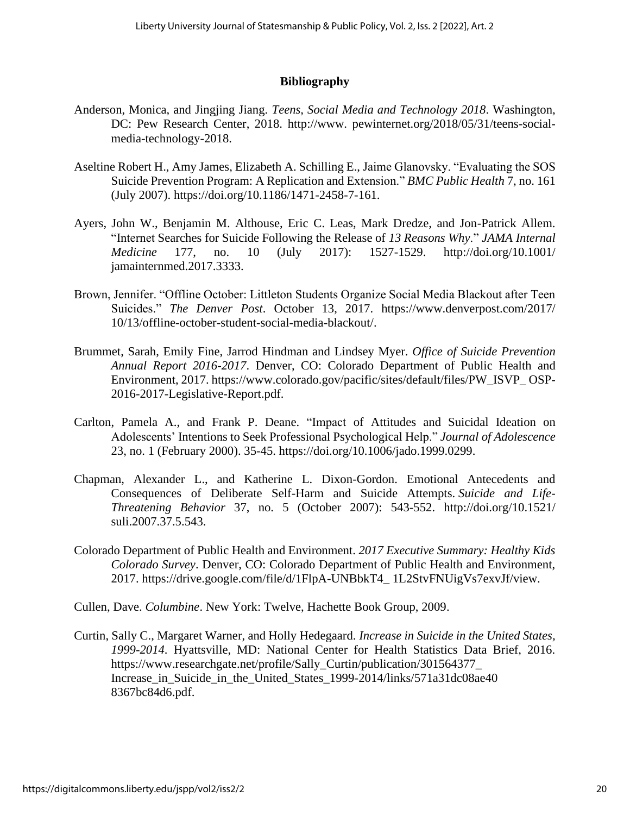# **Bibliography**

- Anderson, Monica, and Jingjing Jiang. *Teens, Social Media and Technology 2018*. Washington, DC: Pew Research Center, 2018. http://www. pewinternet.org/2018/05/31/teens-socialmedia-technology-2018.
- Aseltine Robert H., Amy James, Elizabeth A. Schilling E., Jaime Glanovsky. "Evaluating the SOS Suicide Prevention Program: A Replication and Extension." *BMC Public Health* 7, no. 161 (July 2007). https://doi.org/10.1186/1471-2458-7-161.
- Ayers, John W., Benjamin M. Althouse, Eric C. Leas, Mark Dredze, and Jon-Patrick Allem. "Internet Searches for Suicide Following the Release of *13 Reasons Why*." *JAMA Internal Medicine* 177, no. 10 (July 2017): 1527-1529. http://doi.org/10.1001/ jamainternmed.2017.3333.
- Brown, Jennifer. "Offline October: Littleton Students Organize Social Media Blackout after Teen Suicides." *The Denver Post*. October 13, 2017. https://www.denverpost.com/2017/ 10/13/offline-october-student-social-media-blackout/.
- Brummet, Sarah, Emily Fine, Jarrod Hindman and Lindsey Myer. *Office of Suicide Prevention Annual Report 2016-2017*. Denver, CO: Colorado Department of Public Health and Environment, 2017. https://www.colorado.gov/pacific/sites/default/files/PW\_ISVP\_ OSP-2016-2017-Legislative-Report.pdf.
- Carlton, Pamela A., and Frank P. Deane. "Impact of Attitudes and Suicidal Ideation on Adolescents' Intentions to Seek Professional Psychological Help." *Journal of Adolescence* 23, no. 1 (February 2000). 35-45. https://doi.org/10.1006/jado.1999.0299.
- Chapman, Alexander L., and Katherine L. Dixon-Gordon. Emotional Antecedents and Consequences of Deliberate Self-Harm and Suicide Attempts. *Suicide and Life-Threatening Behavior* 37, no. 5 (October 2007): 543-552. http://doi.org/10.1521/ suli.2007.37.5.543.
- Colorado Department of Public Health and Environment. *2017 Executive Summary: Healthy Kids Colorado Survey*. Denver, CO: Colorado Department of Public Health and Environment, 2017. https://drive.google.com/file/d/1FlpA-UNBbkT4\_ 1L2StvFNUigVs7exvJf/view.
- Cullen, Dave. *Columbine*. New York: Twelve, Hachette Book Group, 2009.
- Curtin, Sally C., Margaret Warner, and Holly Hedegaard. *Increase in Suicide in the United States, 1999-2014*. Hyattsville, MD: National Center for Health Statistics Data Brief, 2016. https://www.researchgate.net/profile/Sally\_Curtin/publication/301564377\_ Increase in Suicide in the United States 1999-2014/links/571a31dc08ae40 8367bc84d6.pdf.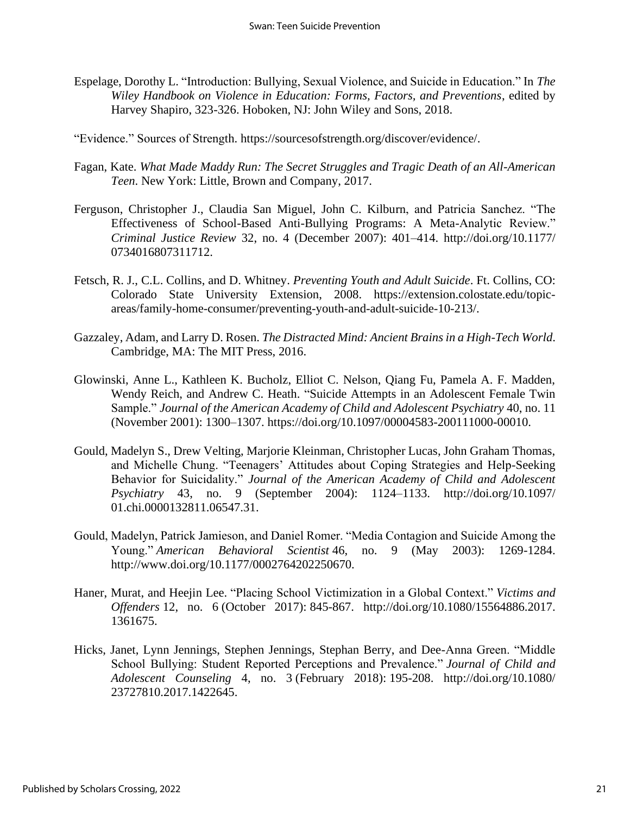- Espelage, Dorothy L. "Introduction: Bullying, Sexual Violence, and Suicide in Education." In *The Wiley Handbook on Violence in Education: Forms, Factors, and Preventions*, edited by Harvey Shapiro, 323-326. Hoboken, NJ: John Wiley and Sons, 2018.
- "Evidence." Sources of Strength. https://sourcesofstrength.org/discover/evidence/.
- Fagan, Kate. *What Made Maddy Run: The Secret Struggles and Tragic Death of an All-American Teen*. New York: Little, Brown and Company, 2017.
- Ferguson, Christopher J., Claudia San Miguel, John C. Kilburn, and Patricia Sanchez. "The Effectiveness of School-Based Anti-Bullying Programs: A Meta-Analytic Review." *Criminal Justice Review* 32, no. 4 (December 2007): 401–414. http://doi.org/10.1177/ 0734016807311712.
- Fetsch, R. J., C.L. Collins, and D. Whitney. *Preventing Youth and Adult Suicide*. Ft. Collins, CO: Colorado State University Extension, 2008. https://extension.colostate.edu/topicareas/family-home-consumer/preventing-youth-and-adult-suicide-10-213/.
- Gazzaley, Adam, and Larry D. Rosen. *The Distracted Mind: Ancient Brains in a High-Tech World*. Cambridge, MA: The MIT Press, 2016.
- Glowinski, Anne L., Kathleen K. Bucholz, Elliot C. Nelson, Qiang Fu, Pamela A. F. Madden, Wendy Reich, and Andrew C. Heath. "Suicide Attempts in an Adolescent Female Twin Sample." *Journal of the American Academy of Child and Adolescent Psychiatry* 40, no. 11 (November 2001): 1300–1307. https://doi.org/10.1097/00004583-200111000-00010.
- Gould, Madelyn S., Drew Velting, Marjorie Kleinman, Christopher Lucas, John Graham Thomas, and Michelle Chung. "Teenagers' Attitudes about Coping Strategies and Help-Seeking Behavior for Suicidality." *Journal of the American Academy of Child and Adolescent Psychiatry* 43, no. 9 (September 2004): 1124–1133. http://doi.org/10.1097/ 01.chi.0000132811.06547.31.
- Gould, Madelyn, Patrick Jamieson, and Daniel Romer. "Media Contagion and Suicide Among the Young." *American Behavioral Scientist* 46, no. 9 (May 2003): 1269-1284. http://www.doi.org/10.1177/0002764202250670.
- Haner, Murat, and Heejin Lee. "Placing School Victimization in a Global Context." *Victims and Offenders* 12, no. 6 (October 2017): 845-867. http://doi.org/10.1080/15564886.2017. 1361675.
- Hicks, Janet, Lynn Jennings, Stephen Jennings, Stephan Berry, and Dee-Anna Green. "Middle School Bullying: Student Reported Perceptions and Prevalence." *Journal of Child and Adolescent Counseling* 4, no. 3 (February 2018): 195-208. http://doi.org/10.1080/ 23727810.2017.1422645.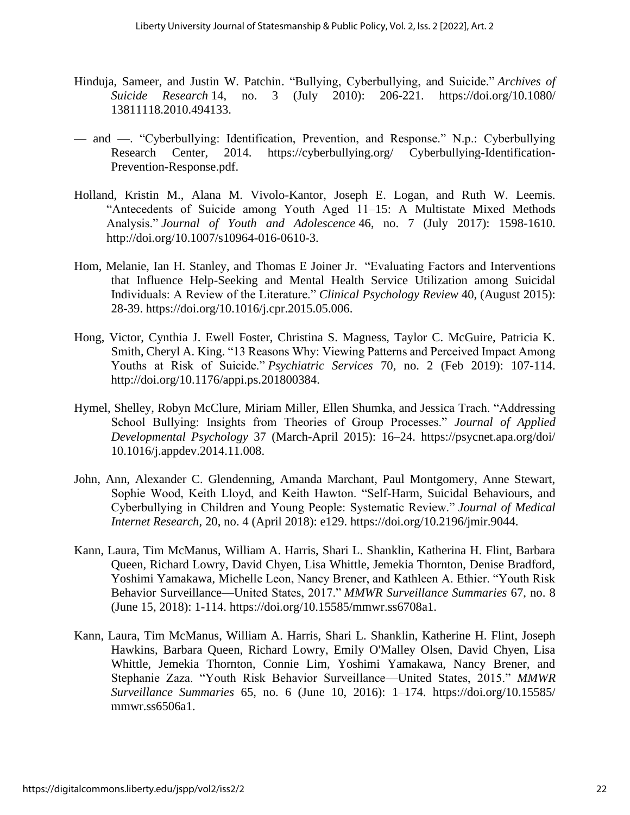- Hinduja, Sameer, and Justin W. Patchin. "Bullying, Cyberbullying, and Suicide." *Archives of Suicide Research* 14, no. 3 (July 2010): 206-221. https://doi.org/10.1080/ 13811118.2010.494133.
- and —. "Cyberbullying: Identification, Prevention, and Response." N.p.: Cyberbullying Research Center, 2014. https://cyberbullying.org/ Cyberbullying-Identification-Prevention-Response.pdf.
- Holland, Kristin M., Alana M. Vivolo-Kantor, Joseph E. Logan, and Ruth W. Leemis. "Antecedents of Suicide among Youth Aged 11–15: A Multistate Mixed Methods Analysis." *Journal of Youth and Adolescence* 46, no. 7 (July 2017): 1598-1610. http://doi.org/10.1007/s10964-016-0610-3.
- Hom, Melanie, Ian H. Stanley, and Thomas E Joiner Jr. "Evaluating Factors and Interventions that Influence Help-Seeking and Mental Health Service Utilization among Suicidal Individuals: A Review of the Literature." *Clinical Psychology Review* 40, (August 2015): 28-39. https://doi.org/10.1016/j.cpr.2015.05.006.
- Hong, Victor, Cynthia J. Ewell Foster, Christina S. Magness, Taylor C. McGuire, Patricia K. Smith, Cheryl A. King. "13 Reasons Why: Viewing Patterns and Perceived Impact Among Youths at Risk of Suicide." *Psychiatric Services* 70, no. 2 (Feb 2019): 107-114. http://doi.org/10.1176/appi.ps.201800384.
- Hymel, Shelley, Robyn McClure, Miriam Miller, Ellen Shumka, and Jessica Trach. "Addressing School Bullying: Insights from Theories of Group Processes." *Journal of Applied Developmental Psychology* 37 (March-April 2015): 16–24. https://psycnet.apa.org/doi/ 10.1016/j.appdev.2014.11.008.
- John, Ann, Alexander C. Glendenning, Amanda Marchant, Paul Montgomery, Anne Stewart, Sophie Wood, Keith Lloyd, and Keith Hawton. "Self-Harm, Suicidal Behaviours, and Cyberbullying in Children and Young People: Systematic Review." *Journal of Medical Internet Research*, 20, no. 4 (April 2018): e129. https://doi.org/10.2196/jmir.9044.
- Kann, Laura, Tim McManus, William A. Harris, Shari L. Shanklin, Katherina H. Flint, Barbara Queen, Richard Lowry, David Chyen, Lisa Whittle, Jemekia Thornton, Denise Bradford, Yoshimi Yamakawa, Michelle Leon, Nancy Brener, and Kathleen A. Ethier. "Youth Risk Behavior Surveillance—United States, 2017." *MMWR Surveillance Summaries* 67, no. 8 (June 15, 2018): 1-114. https://doi.org/10.15585/mmwr.ss6708a1.
- Kann, Laura, Tim McManus, William A. Harris, Shari L. Shanklin, Katherine H. Flint, Joseph Hawkins, Barbara Queen, Richard Lowry, Emily O'Malley Olsen, David Chyen, Lisa Whittle, Jemekia Thornton, Connie Lim, Yoshimi Yamakawa, Nancy Brener, and Stephanie Zaza. "Youth Risk Behavior Surveillance—United States, 2015." *MMWR Surveillance Summaries* 65, no. 6 (June 10, 2016): 1–174. https://doi.org/10.15585/ mmwr.ss6506a1.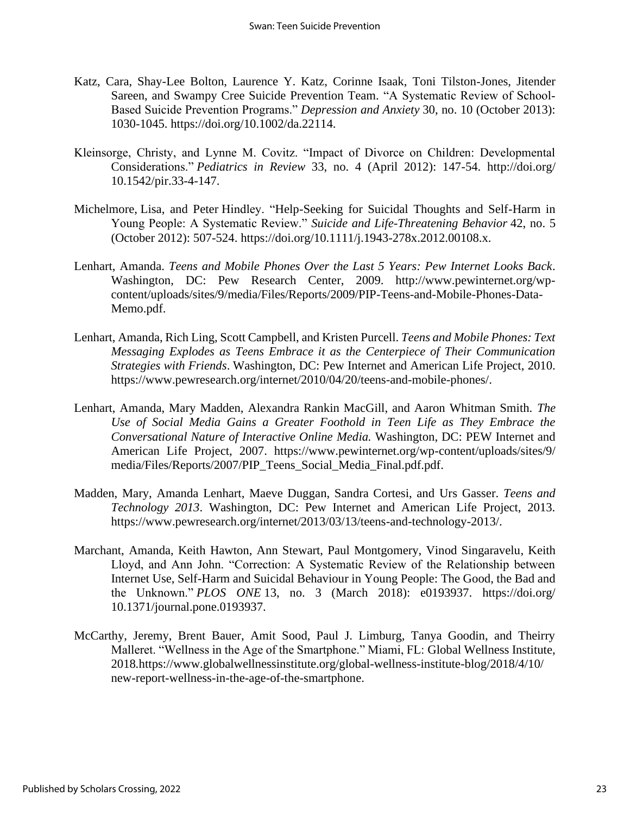- Katz, Cara, Shay-Lee Bolton, Laurence Y. Katz, Corinne Isaak, Toni Tilston‐Jones, Jitender Sareen, and Swampy Cree Suicide Prevention Team. "A Systematic Review of School‐ Based Suicide Prevention Programs." *Depression and Anxiety* 30, no. 10 (October 2013): 1030-1045. https://doi.org/10.1002/da.22114.
- Kleinsorge, Christy, and Lynne M. Covitz. "Impact of Divorce on Children: Developmental Considerations." *Pediatrics in Review* 33, no. 4 (April 2012): 147-54. http://doi.org/ 10.1542/pir.33-4-147.
- Michelmore, Lisa, and Peter Hindley. "Help-Seeking for Suicidal Thoughts and Self-Harm in Young People: A Systematic Review." *Suicide and Life-Threatening Behavior* 42, no. 5 (October 2012): 507-524. https://doi.org/10.1111/j.1943-278x.2012.00108.x.
- Lenhart, Amanda. *Teens and Mobile Phones Over the Last 5 Years: Pew Internet Looks Back*. Washington, DC: Pew Research Center, 2009. http://www.pewinternet.org/wpcontent/uploads/sites/9/media/Files/Reports/2009/PIP-Teens-and-Mobile-Phones-Data-Memo.pdf.
- Lenhart, Amanda, Rich Ling, Scott Campbell, and Kristen Purcell. *Teens and Mobile Phones: Text Messaging Explodes as Teens Embrace it as the Centerpiece of Their Communication Strategies with Friends*. Washington, DC: Pew Internet and American Life Project, 2010. https://www.pewresearch.org/internet/2010/04/20/teens-and-mobile-phones/.
- Lenhart, Amanda, Mary Madden, Alexandra Rankin MacGill, and Aaron Whitman Smith. *The Use of Social Media Gains a Greater Foothold in Teen Life as They Embrace the Conversational Nature of Interactive Online Media.* Washington, DC: PEW Internet and American Life Project, 2007. https://www.pewinternet.org/wp-content/uploads/sites/9/ media/Files/Reports/2007/PIP\_Teens\_Social\_Media\_Final.pdf.pdf.
- Madden, Mary, Amanda Lenhart, Maeve Duggan, Sandra Cortesi, and Urs Gasser. *Teens and Technology 2013*. Washington, DC: Pew Internet and American Life Project, 2013. https://www.pewresearch.org/internet/2013/03/13/teens-and-technology-2013/.
- Marchant, Amanda, Keith Hawton, Ann Stewart, Paul Montgomery, Vinod Singaravelu, Keith Lloyd, and Ann John. "Correction: A Systematic Review of the Relationship between Internet Use, Self-Harm and Suicidal Behaviour in Young People: The Good, the Bad and the Unknown." *PLOS ONE* 13, no. 3 (March 2018): e0193937. https://doi.org/ 10.1371/journal.pone.0193937.
- McCarthy, Jeremy, Brent Bauer, Amit Sood, Paul J. Limburg, Tanya Goodin, and Theirry Malleret. "Wellness in the Age of the Smartphone." Miami, FL: Global Wellness Institute, 2018*.*https://www.globalwellnessinstitute.org/global-wellness-institute-blog/2018/4/10/ new-report-wellness-in-the-age-of-the-smartphone.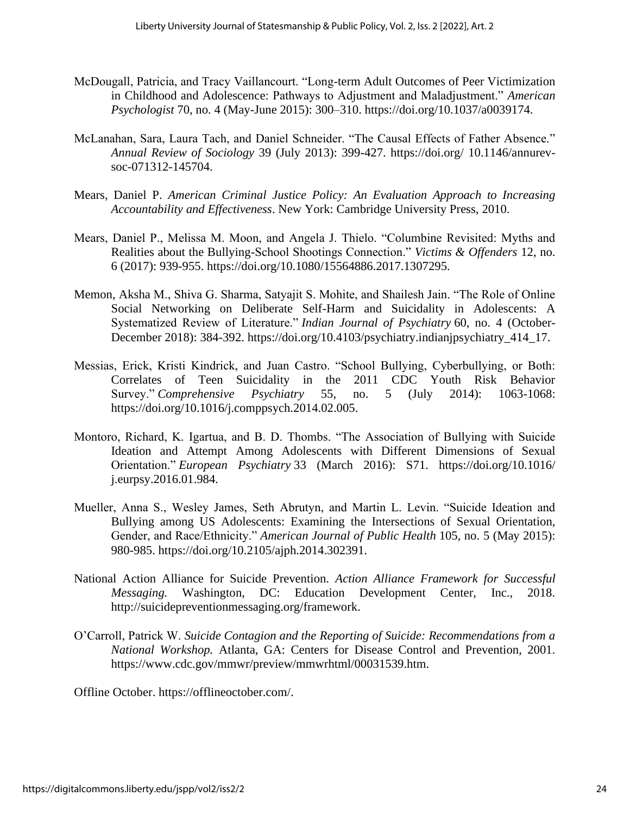- McDougall, Patricia, and Tracy Vaillancourt. "Long-term Adult Outcomes of Peer Victimization in Childhood and Adolescence: Pathways to Adjustment and Maladjustment." *American Psychologist* 70, no. 4 (May-June 2015): 300–310. https://doi.org/10.1037/a0039174.
- McLanahan, Sara, Laura Tach, and Daniel Schneider. "The Causal Effects of Father Absence." *Annual Review of Sociology* 39 (July 2013): 399-427. https://doi.org/ 10.1146/annurevsoc-071312-145704.
- Mears, Daniel P. *American Criminal Justice Policy: An Evaluation Approach to Increasing Accountability and Effectiveness*. New York: Cambridge University Press, 2010.
- Mears, Daniel P., Melissa M. Moon, and Angela J. Thielo. "Columbine Revisited: Myths and Realities about the Bullying-School Shootings Connection." *Victims & Offenders* 12, no. 6 (2017): 939-955. https://doi.org/10.1080/15564886.2017.1307295.
- Memon, Aksha M., Shiva G. Sharma, Satyajit S. Mohite, and Shailesh Jain. "The Role of Online Social Networking on Deliberate Self-Harm and Suicidality in Adolescents: A Systematized Review of Literature." *Indian Journal of Psychiatry* 60, no. 4 (October-December 2018): 384-392. https://doi.org/10.4103/psychiatry.indianjpsychiatry\_414\_17.
- Messias, Erick, Kristi Kindrick, and Juan Castro. "School Bullying, Cyberbullying, or Both: Correlates of Teen Suicidality in the 2011 CDC Youth Risk Behavior Survey." *Comprehensive Psychiatry* 55, no. 5 (July 2014): 1063-1068: https://doi.org/10.1016/j.comppsych.2014.02.005.
- Montoro, Richard, K. Igartua, and B. D. Thombs. "The Association of Bullying with Suicide Ideation and Attempt Among Adolescents with Different Dimensions of Sexual Orientation." *European Psychiatry* 33 (March 2016): S71. https://doi.org/10.1016/ j.eurpsy.2016.01.984.
- Mueller, Anna S., Wesley James, Seth Abrutyn, and Martin L. Levin. "Suicide Ideation and Bullying among US Adolescents: Examining the Intersections of Sexual Orientation, Gender, and Race/Ethnicity." *American Journal of Public Health* 105, no. 5 (May 2015): 980-985. https://doi.org/10.2105/ajph.2014.302391.
- National Action Alliance for Suicide Prevention. *Action Alliance Framework for Successful Messaging.* Washington, DC: Education Development Center, Inc., 2018. http://suicidepreventionmessaging.org/framework.
- O'Carroll, Patrick W. *Suicide Contagion and the Reporting of Suicide: Recommendations from a National Workshop.* Atlanta, GA: Centers for Disease Control and Prevention, 2001. https://www.cdc.gov/mmwr/preview/mmwrhtml/00031539.htm.

Offline October. https://offlineoctober.com/.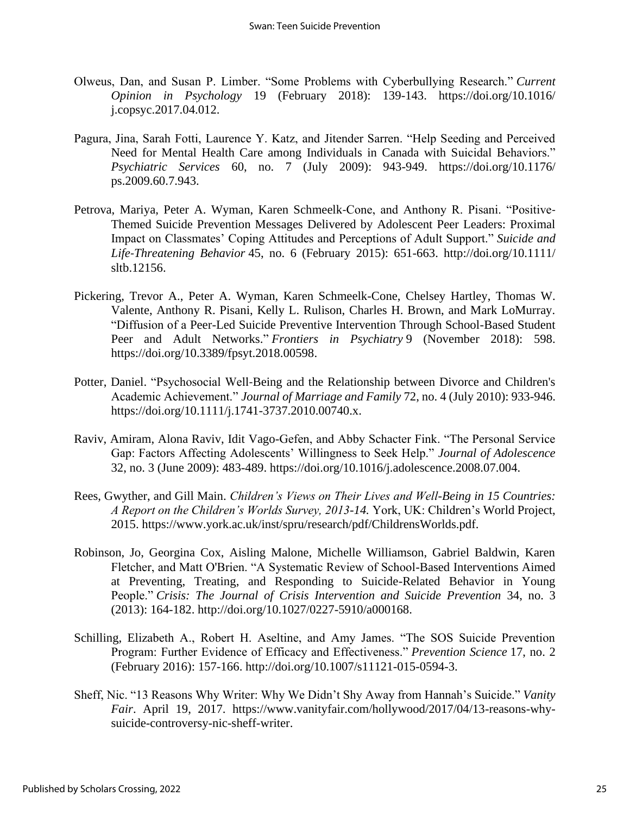- Olweus, Dan, and Susan P. Limber. "Some Problems with Cyberbullying Research." *Current Opinion in Psychology* 19 (February 2018): 139-143. https://doi.org/10.1016/ j.copsyc.2017.04.012.
- Pagura, Jina, Sarah Fotti, Laurence Y. Katz, and Jitender Sarren. "Help Seeding and Perceived Need for Mental Health Care among Individuals in Canada with Suicidal Behaviors." *Psychiatric Services* 60, no. 7 (July 2009): 943-949. https://doi.org/10.1176/ ps.2009.60.7.943.
- Petrova, Mariya, Peter A. Wyman, Karen Schmeelk‐Cone, and Anthony R. Pisani. "Positive‐ Themed Suicide Prevention Messages Delivered by Adolescent Peer Leaders: Proximal Impact on Classmates' Coping Attitudes and Perceptions of Adult Support." *Suicide and Life‐Threatening Behavior* 45, no. 6 (February 2015): 651-663. http://doi.org/10.1111/ sltb.12156.
- Pickering, Trevor A., Peter A. Wyman, Karen Schmeelk-Cone, Chelsey Hartley, Thomas W. Valente, Anthony R. Pisani, Kelly L. Rulison, Charles H. Brown, and Mark LoMurray. "Diffusion of a Peer-Led Suicide Preventive Intervention Through School-Based Student Peer and Adult Networks." *Frontiers in Psychiatry* 9 (November 2018): 598. https://doi.org/10.3389/fpsyt.2018.00598.
- Potter, Daniel. "Psychosocial Well‐Being and the Relationship between Divorce and Children's Academic Achievement." *Journal of Marriage and Family* 72, no. 4 (July 2010): 933-946. https://doi.org/10.1111/j.1741-3737.2010.00740.x.
- Raviv, Amiram, Alona Raviv, Idit Vago-Gefen, and Abby Schacter Fink. "The Personal Service Gap: Factors Affecting Adolescents' Willingness to Seek Help." *Journal of Adolescence* 32, no. 3 (June 2009): 483-489. https://doi.org/10.1016/j.adolescence.2008.07.004.
- Rees, Gwyther, and Gill Main. *Children's Views on Their Lives and Well-Being in 15 Countries: A Report on the Children's Worlds Survey, 2013-14.* York, UK: Children's World Project, 2015. https://www.york.ac.uk/inst/spru/research/pdf/ChildrensWorlds.pdf.
- Robinson, Jo, Georgina Cox, Aisling Malone, Michelle Williamson, Gabriel Baldwin, Karen Fletcher, and Matt O'Brien. "A Systematic Review of School-Based Interventions Aimed at Preventing, Treating, and Responding to Suicide-Related Behavior in Young People." *Crisis: The Journal of Crisis Intervention and Suicide Prevention* 34, no. 3 (2013): 164-182. http://doi.org/10.1027/0227-5910/a000168.
- Schilling, Elizabeth A., Robert H. Aseltine, and Amy James. "The SOS Suicide Prevention Program: Further Evidence of Efficacy and Effectiveness." *Prevention Science* 17, no. 2 (February 2016): 157-166. http://doi.org/10.1007/s11121-015-0594-3.
- Sheff, Nic. "13 Reasons Why Writer: Why We Didn't Shy Away from Hannah's Suicide." *Vanity Fair*. April 19, 2017. https://www.vanityfair.com/hollywood/2017/04/13-reasons-whysuicide-controversy-nic-sheff-writer.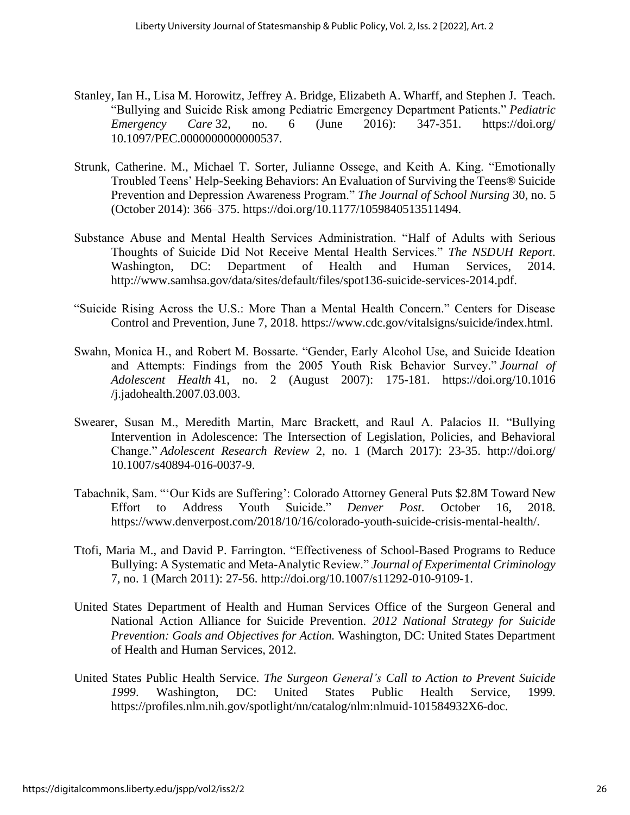- Stanley, Ian H., Lisa M. Horowitz, Jeffrey A. Bridge, Elizabeth A. Wharff, and Stephen J. Teach. "Bullying and Suicide Risk among Pediatric Emergency Department Patients." *Pediatric Emergency Care* 32, no. 6 (June 2016): 347-351. https://doi.org/ 10.1097/PEC.0000000000000537.
- Strunk, Catherine. M., Michael T. Sorter, Julianne Ossege, and Keith A. King. "Emotionally Troubled Teens' Help-Seeking Behaviors: An Evaluation of Surviving the Teens® Suicide Prevention and Depression Awareness Program." *The Journal of School Nursing* 30, no. 5 (October 2014): 366–375. https://doi.org/10.1177/1059840513511494.
- Substance Abuse and Mental Health Services Administration. "Half of Adults with Serious Thoughts of Suicide Did Not Receive Mental Health Services." *The NSDUH Report*. Washington, DC: Department of Health and Human Services, 2014. http://www.samhsa.gov/data/sites/default/files/spot136-suicide-services-2014.pdf.
- "Suicide Rising Across the U.S.: More Than a Mental Health Concern." Centers for Disease Control and Prevention, June 7, 2018. https://www.cdc.gov/vitalsigns/suicide/index.html.
- Swahn, Monica H., and Robert M. Bossarte. "Gender, Early Alcohol Use, and Suicide Ideation and Attempts: Findings from the 2005 Youth Risk Behavior Survey." *Journal of Adolescent Health* 41, no. 2 (August 2007): 175-181. https://doi.org/10.1016 /j.jadohealth.2007.03.003.
- Swearer, Susan M., Meredith Martin, Marc Brackett, and Raul A. Palacios II. "Bullying Intervention in Adolescence: The Intersection of Legislation, Policies, and Behavioral Change." *Adolescent Research Review* 2, no. 1 (March 2017): 23-35. http://doi.org/ 10.1007/s40894-016-0037-9.
- Tabachnik, Sam. "'Our Kids are Suffering': Colorado Attorney General Puts \$2.8M Toward New Effort to Address Youth Suicide." *Denver Post*. October 16, 2018. https://www.denverpost.com/2018/10/16/colorado-youth-suicide-crisis-mental-health/.
- Ttofi, Maria M., and David P. Farrington. "Effectiveness of School-Based Programs to Reduce Bullying: A Systematic and Meta-Analytic Review." *Journal of Experimental Criminology* 7, no. 1 (March 2011): 27-56. http://doi.org/10.1007/s11292-010-9109-1.
- United States Department of Health and Human Services Office of the Surgeon General and National Action Alliance for Suicide Prevention. *2012 National Strategy for Suicide Prevention: Goals and Objectives for Action.* Washington, DC: United States Department of Health and Human Services, 2012.
- United States Public Health Service. *The Surgeon General's Call to Action to Prevent Suicide 1999*. Washington, DC: United States Public Health Service, 1999. https://profiles.nlm.nih.gov/spotlight/nn/catalog/nlm:nlmuid-101584932X6-doc.